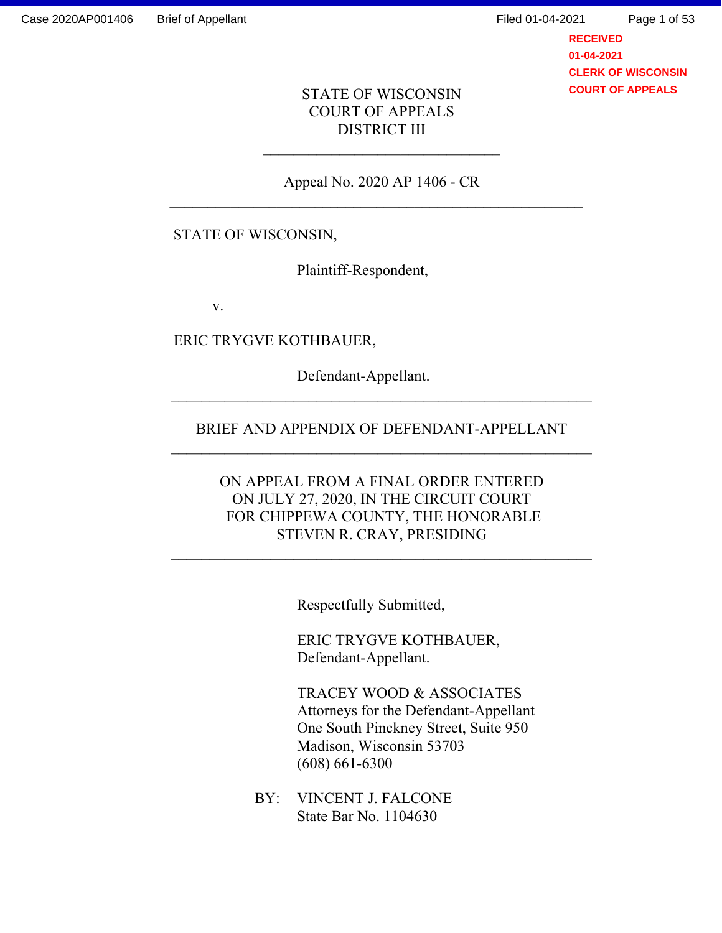**RECEIVED 01-04-2021 CLERK OF WISCONSIN COURT OF APPEALS** Page 1 of 53

## STATE OF WISCONSIN COURT OF APPEALS DISTRICT III

Appeal No. 2020 AP 1406 - CR

## STATE OF WISCONSIN,

Plaintiff-Respondent,

v.

ERIC TRYGVE KOTHBAUER,

Defendant-Appellant.

### BRIEF AND APPENDIX OF DEFENDANT-APPELLANT

## ON APPEAL FROM A FINAL ORDER ENTERED ON JULY 27, 2020, IN THE CIRCUIT COURT FOR CHIPPEWA COUNTY, THE HONORABLE STEVEN R. CRAY, PRESIDING

 $\mathcal{L}_\text{max}$  and the contract of the contract of the contract of the contract of the contract of the contract of

Respectfully Submitted,

ERIC TRYGVE KOTHBAUER, Defendant-Appellant.

TRACEY WOOD & ASSOCIATES Attorneys for the Defendant-Appellant One South Pinckney Street, Suite 950 Madison, Wisconsin 53703 (608) 661-6300

BY: VINCENT J. FALCONE State Bar No. 1104630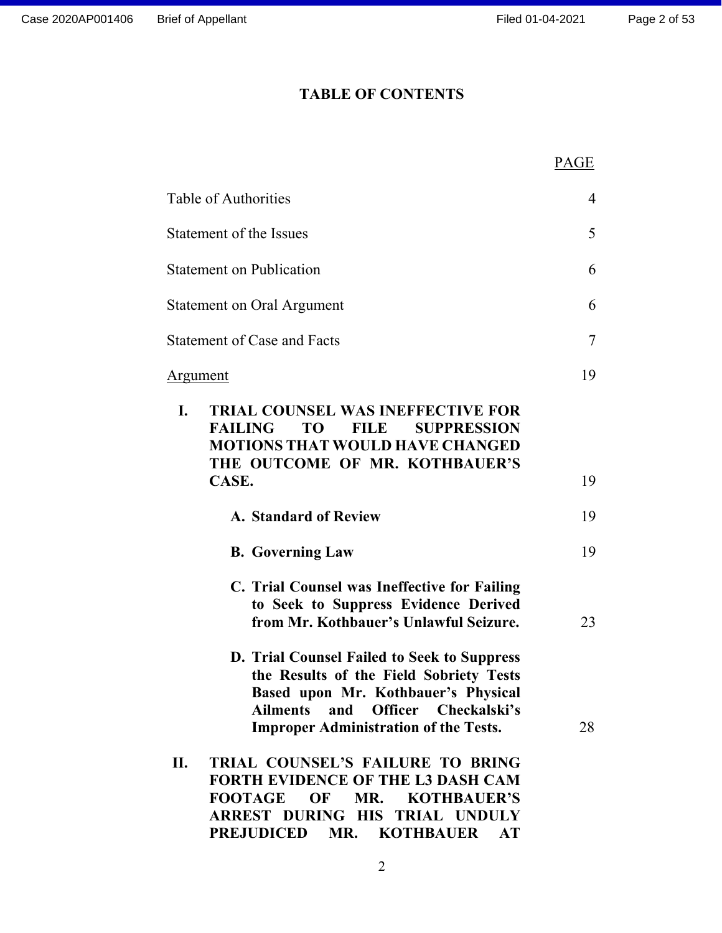## TABLE OF CONTENTS

|                                                                                                                                                                                                                    | PAGE |
|--------------------------------------------------------------------------------------------------------------------------------------------------------------------------------------------------------------------|------|
| Table of Authorities                                                                                                                                                                                               | 4    |
| Statement of the Issues                                                                                                                                                                                            | 5    |
| <b>Statement on Publication</b>                                                                                                                                                                                    | 6    |
| <b>Statement on Oral Argument</b>                                                                                                                                                                                  | 6    |
| <b>Statement of Case and Facts</b>                                                                                                                                                                                 | 7    |
| <u>Argument</u>                                                                                                                                                                                                    | 19   |
| I.<br><b>TRIAL COUNSEL WAS INEFFECTIVE FOR</b><br><b>FAILING</b><br>TO T<br><b>FILE</b><br><b>SUPPRESSION</b><br><b>MOTIONS THAT WOULD HAVE CHANGED</b><br>THE OUTCOME OF MR. KOTHBAUER'S<br>CASE.                 | 19   |
| <b>A. Standard of Review</b>                                                                                                                                                                                       | 19   |
| <b>B.</b> Governing Law                                                                                                                                                                                            | 19   |
| C. Trial Counsel was Ineffective for Failing<br>to Seek to Suppress Evidence Derived<br>from Mr. Kothbauer's Unlawful Seizure.                                                                                     | 23   |
| D. Trial Counsel Failed to Seek to Suppress<br>the Results of the Field Sobriety Tests<br>Based upon Mr. Kothbauer's Physical<br>Ailments and Officer Checkalski's<br><b>Improper Administration of the Tests.</b> | 28   |
| TRIAL COUNSEL'S FAILURE TO BRING<br>П.<br><b>FORTH EVIDENCE OF THE L3 DASH CAM</b><br>OF<br>MR.<br><b>KOTHBAUER'S</b><br><b>FOOTAGE</b><br>ARREST DURING HIS TRIAL UNDULY<br>PREJUDICED MR. KOTHBAUER<br><b>AT</b> |      |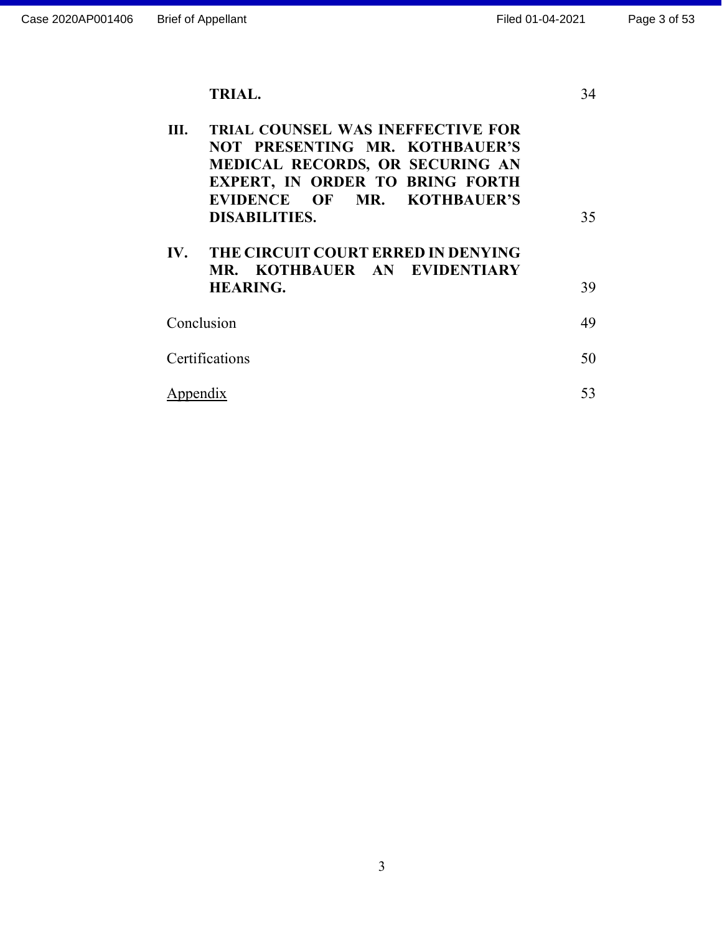TRIAL.

| <b>TRIAL COUNSEL WAS INEFFECTIVE FOR</b><br>Ш.<br>NOT PRESENTING MR. KOTHBAUER'S<br><b>MEDICAL RECORDS, OR SECURING AN</b><br><b>EXPERT, IN ORDER TO BRING FORTH</b><br>EVIDENCE OF MR. KOTHBAUER'S<br><b>DISABILITIES.</b> | 35 |
|-----------------------------------------------------------------------------------------------------------------------------------------------------------------------------------------------------------------------------|----|
| IV. THE CIRCUIT COURT ERRED IN DENYING<br>MR. KOTHBAUER AN EVIDENTIARY<br><b>HEARING.</b>                                                                                                                                   | 39 |
| Conclusion                                                                                                                                                                                                                  | 49 |
| Certifications                                                                                                                                                                                                              | 50 |
| Appendix                                                                                                                                                                                                                    |    |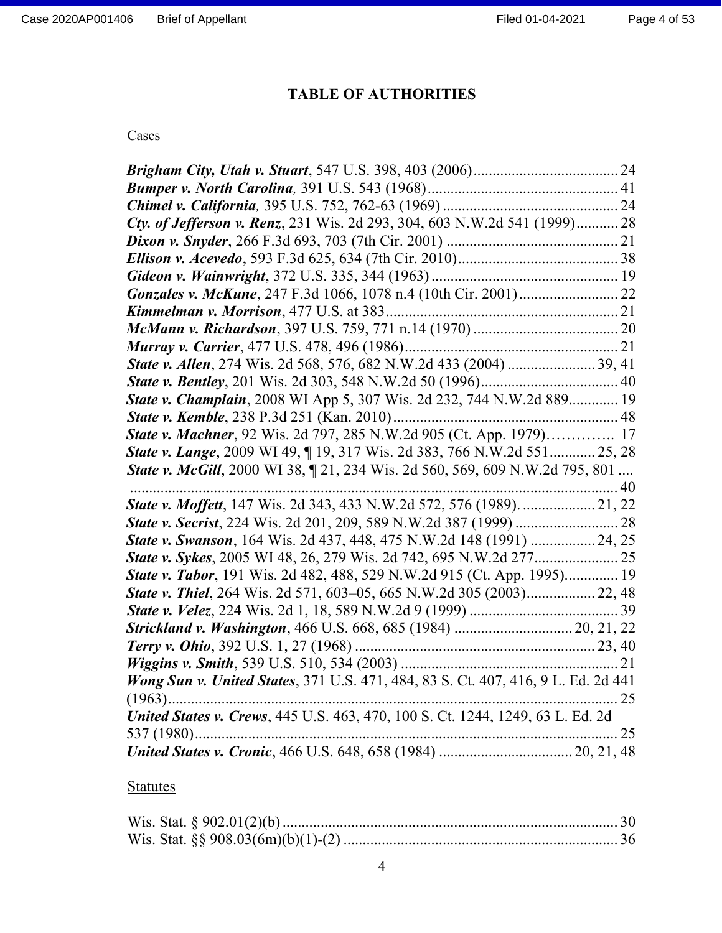## TABLE OF AUTHORITIES

## **Cases**

| Cty. of Jefferson v. Renz, 231 Wis. 2d 293, 304, 603 N.W.2d 541 (1999) 28           |  |
|-------------------------------------------------------------------------------------|--|
|                                                                                     |  |
|                                                                                     |  |
|                                                                                     |  |
|                                                                                     |  |
|                                                                                     |  |
|                                                                                     |  |
|                                                                                     |  |
|                                                                                     |  |
|                                                                                     |  |
| State v. Champlain, 2008 WI App 5, 307 Wis. 2d 232, 744 N.W.2d 889 19               |  |
|                                                                                     |  |
| State v. Machner, 92 Wis. 2d 797, 285 N.W.2d 905 (Ct. App. 1979) 17                 |  |
| State v. Lange, 2009 WI 49, [19, 317 Wis. 2d 383, 766 N.W.2d 551 25, 28             |  |
|                                                                                     |  |
| <b>State v. McGill</b> , 2000 WI 38, 121, 234 Wis. 2d 560, 569, 609 N.W.2d 795, 801 |  |
|                                                                                     |  |
| State v. Moffett, 147 Wis. 2d 343, 433 N.W.2d 572, 576 (1989).  21, 22              |  |
|                                                                                     |  |
| <b>State v. Swanson</b> , 164 Wis. 2d 437, 448, 475 N.W.2d 148 (1991)  24, 25       |  |
|                                                                                     |  |
| <b>State v. Tabor</b> , 191 Wis. 2d 482, 488, 529 N.W.2d 915 (Ct. App. 1995) 19     |  |
| <b>State v. Thiel</b> , 264 Wis. 2d 571, 603-05, 665 N.W.2d 305 (2003) 22, 48       |  |
|                                                                                     |  |
| Strickland v. Washington, 466 U.S. 668, 685 (1984)  20, 21, 22                      |  |
|                                                                                     |  |
|                                                                                     |  |
| Wong Sun v. United States, 371 U.S. 471, 484, 83 S. Ct. 407, 416, 9 L. Ed. 2d 441   |  |
|                                                                                     |  |
| United States v. Crews, 445 U.S. 463, 470, 100 S. Ct. 1244, 1249, 63 L. Ed. 2d      |  |
|                                                                                     |  |

# **Statutes**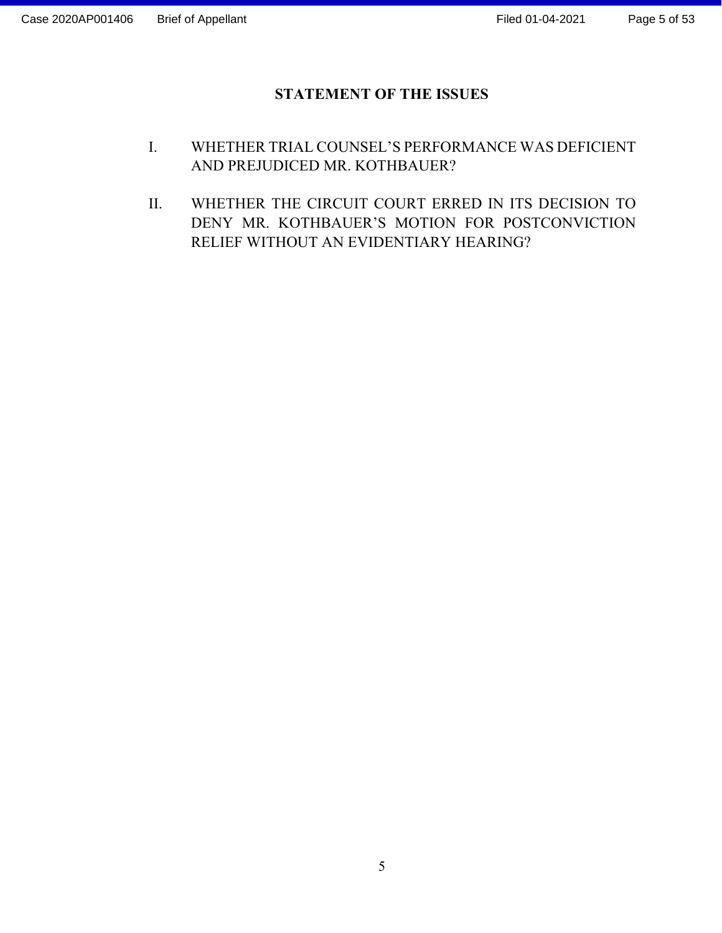## STATEMENT OF THE ISSUES

- I. WHETHER TRIAL COUNSEL'S PERFORMANCE WAS DEFICIENT AND PREJUDICED MR. KOTHBAUER?
- II. WHETHER THE CIRCUIT COURT ERRED IN ITS DECISION TO DENY MR. KOTHBAUER'S MOTION FOR POSTCONVICTION RELIEF WITHOUT AN EVIDENTIARY HEARING?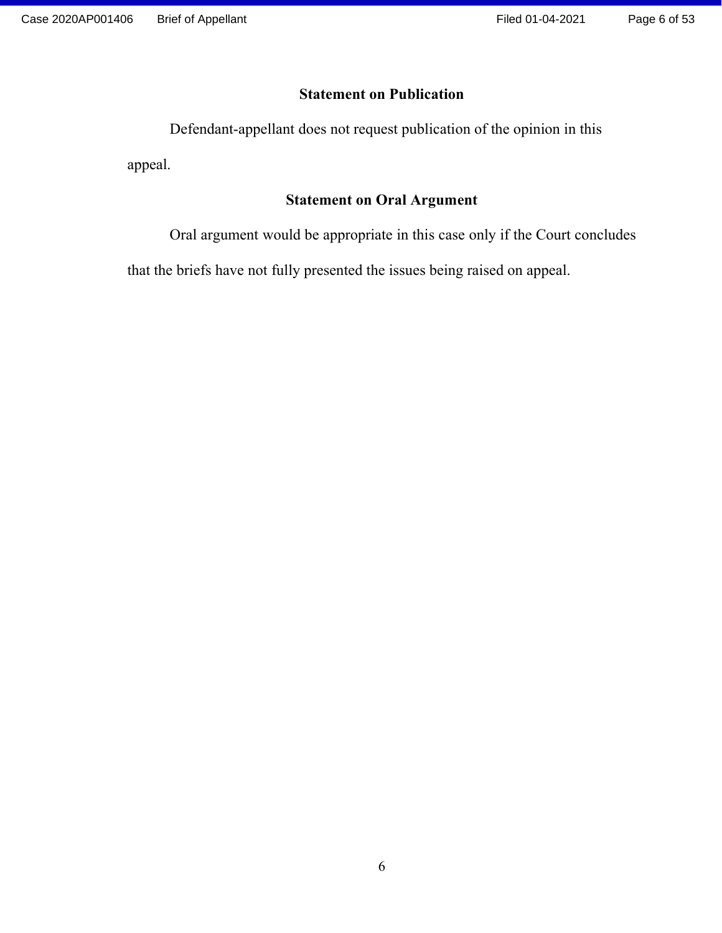## Statement on Publication

Defendant-appellant does not request publication of the opinion in this

appeal.

## Statement on Oral Argument

Oral argument would be appropriate in this case only if the Court concludes

that the briefs have not fully presented the issues being raised on appeal.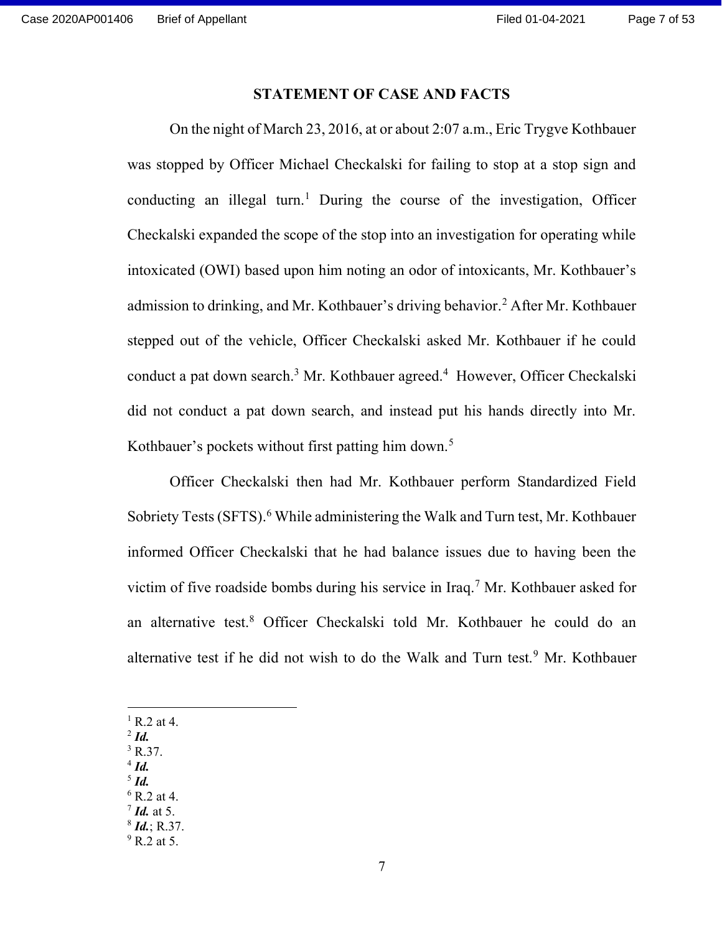#### STATEMENT OF CASE AND FACTS

On the night of March 23, 2016, at or about 2:07 a.m., Eric Trygve Kothbauer was stopped by Officer Michael Checkalski for failing to stop at a stop sign and conducting an illegal turn.<sup>1</sup> During the course of the investigation, Officer Checkalski expanded the scope of the stop into an investigation for operating while intoxicated (OWI) based upon him noting an odor of intoxicants, Mr. Kothbauer's admission to drinking, and Mr. Kothbauer's driving behavior.<sup>2</sup> After Mr. Kothbauer stepped out of the vehicle, Officer Checkalski asked Mr. Kothbauer if he could conduct a pat down search.<sup>3</sup> Mr. Kothbauer agreed.<sup>4</sup> However, Officer Checkalski did not conduct a pat down search, and instead put his hands directly into Mr. Kothbauer's pockets without first patting him down.<sup>5</sup>

Officer Checkalski then had Mr. Kothbauer perform Standardized Field Sobriety Tests (SFTS).<sup>6</sup> While administering the Walk and Turn test, Mr. Kothbauer informed Officer Checkalski that he had balance issues due to having been the victim of five roadside bombs during his service in Iraq.<sup>7</sup> Mr. Kothbauer asked for an alternative test.<sup>8</sup> Officer Checkalski told Mr. Kothbauer he could do an alternative test if he did not wish to do the Walk and Turn test.<sup>9</sup> Mr. Kothbauer

- $<sup>1</sup>$  R.2 at 4.</sup>
- $2$  Id.
- $3$  R.37.
- $4$  Id.  $<sup>5</sup>$  Id.</sup>
- 
- $6$  R.2 at 4.  $7$  Id. at 5.
- $8$  *Id.*; R.37.
- $9$  R.2 at 5.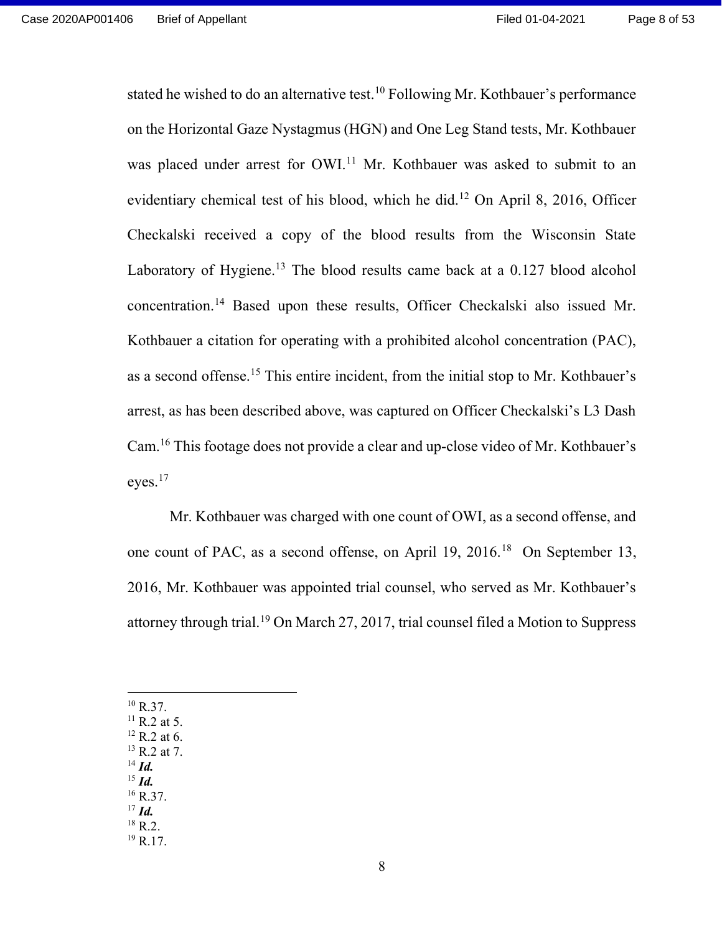stated he wished to do an alternative test.<sup>10</sup> Following Mr. Kothbauer's performance on the Horizontal Gaze Nystagmus (HGN) and One Leg Stand tests, Mr. Kothbauer was placed under arrest for OWI.<sup>11</sup> Mr. Kothbauer was asked to submit to an evidentiary chemical test of his blood, which he did.<sup>12</sup> On April 8, 2016, Officer Checkalski received a copy of the blood results from the Wisconsin State Laboratory of Hygiene.<sup>13</sup> The blood results came back at a  $0.127$  blood alcohol concentration.<sup>14</sup> Based upon these results, Officer Checkalski also issued Mr. Kothbauer a citation for operating with a prohibited alcohol concentration (PAC), as a second offense.<sup>15</sup> This entire incident, from the initial stop to Mr. Kothbauer's arrest, as has been described above, was captured on Officer Checkalski's L3 Dash Cam.<sup>16</sup> This footage does not provide a clear and up-close video of Mr. Kothbauer's eyes.<sup>17</sup>

Mr. Kothbauer was charged with one count of OWI, as a second offense, and one count of PAC, as a second offense, on April 19, 2016.<sup>18</sup> On September 13, 2016, Mr. Kothbauer was appointed trial counsel, who served as Mr. Kothbauer's attorney through trial.<sup>19</sup> On March 27, 2017, trial counsel filed a Motion to Suppress

- $^{10}$  R.37.  $11$  R.2 at 5.  $12$  R.2 at 6. <sup>13</sup> R.2 at 7.  $^{14}$  *Id.*  $^{15}$  *Id.*  $16$  R.37.
- $17$  *Id.*
- $^{18}$  R.2.
- $19$  R.17.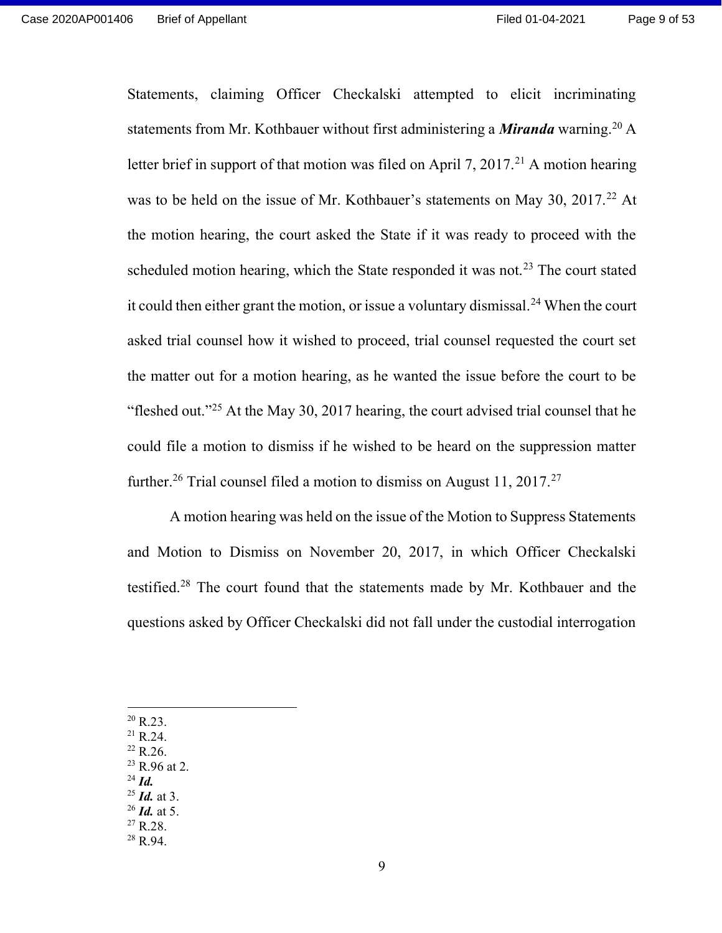Statements, claiming Officer Checkalski attempted to elicit incriminating statements from Mr. Kothbauer without first administering a *Miranda* warning.<sup>20</sup> A letter brief in support of that motion was filed on April 7, 2017.<sup>21</sup> A motion hearing was to be held on the issue of Mr. Kothbauer's statements on May 30, 2017.<sup>22</sup> At the motion hearing, the court asked the State if it was ready to proceed with the scheduled motion hearing, which the State responded it was not.<sup>23</sup> The court stated it could then either grant the motion, or issue a voluntary dismissal.<sup>24</sup> When the court asked trial counsel how it wished to proceed, trial counsel requested the court set the matter out for a motion hearing, as he wanted the issue before the court to be "fleshed out."<sup>25</sup> At the May 30, 2017 hearing, the court advised trial counsel that he could file a motion to dismiss if he wished to be heard on the suppression matter further.<sup>26</sup> Trial counsel filed a motion to dismiss on August 11, 2017.<sup>27</sup>

A motion hearing was held on the issue of the Motion to Suppress Statements and Motion to Dismiss on November 20, 2017, in which Officer Checkalski testified.<sup>28</sup> The court found that the statements made by Mr. Kothbauer and the questions asked by Officer Checkalski did not fall under the custodial interrogation

- $20$  R.23.
- <sup>21</sup> R.24.
- $22$  R.26.
- $23$  R.96 at 2.
- $^{24}$  *Id.*
- $^{25}$  *Id.* at 3.
- $26$  *Id.* at 5.
- $^{27}$  R.28.  $28$  R.94.

9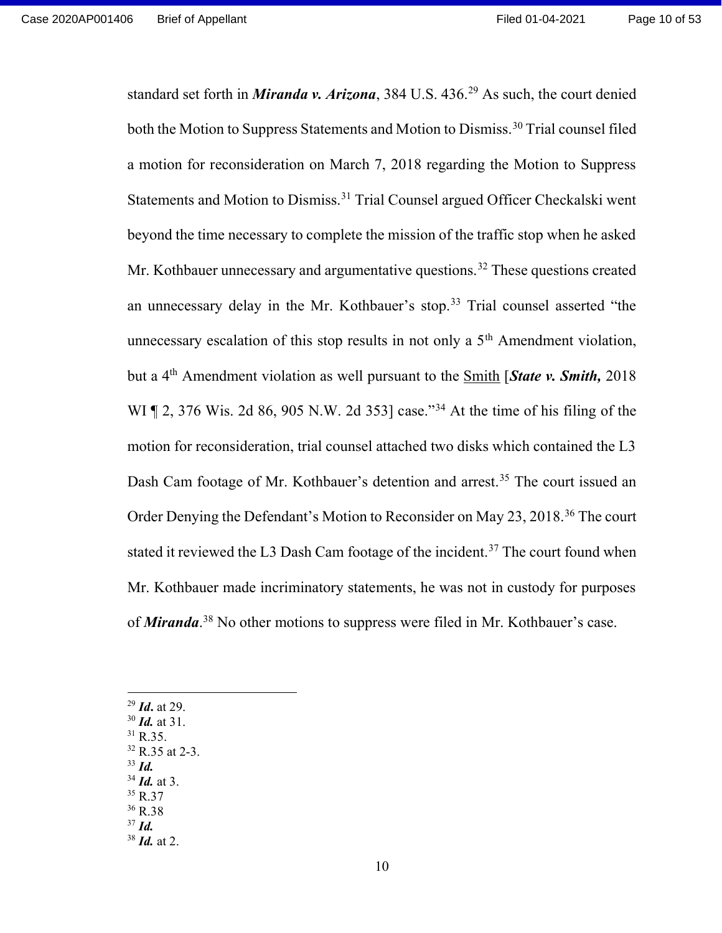standard set forth in *Miranda v. Arizona*, 384 U.S.  $436<sup>29</sup>$  As such, the court denied both the Motion to Suppress Statements and Motion to Dismiss.<sup>30</sup> Trial counsel filed a motion for reconsideration on March 7, 2018 regarding the Motion to Suppress Statements and Motion to Dismiss.<sup>31</sup> Trial Counsel argued Officer Checkalski went beyond the time necessary to complete the mission of the traffic stop when he asked Mr. Kothbauer unnecessary and argumentative questions.<sup>32</sup> These questions created an unnecessary delay in the Mr. Kothbauer's stop.<sup>33</sup> Trial counsel asserted "the unnecessary escalation of this stop results in not only a 5<sup>th</sup> Amendment violation, but a  $4<sup>th</sup>$  Amendment violation as well pursuant to the Smith [*State v. Smith*, 2018 WI ¶ 2, 376 Wis. 2d 86, 905 N.W. 2d 353] case."<sup>34</sup> At the time of his filing of the motion for reconsideration, trial counsel attached two disks which contained the L3 Dash Cam footage of Mr. Kothbauer's detention and arrest.<sup>35</sup> The court issued an Order Denying the Defendant's Motion to Reconsider on May 23, 2018.<sup>36</sup> The court stated it reviewed the L3 Dash Cam footage of the incident.<sup>37</sup> The court found when Mr. Kothbauer made incriminatory statements, he was not in custody for purposes of *Miranda*.<sup>38</sup> No other motions to suppress were filed in Mr. Kothbauer's case.

- $^{29}$  *Id.* at 29.
- $30$  *Id.* at 31.
- <sup>31</sup> R.35.
- <sup>32</sup> R.35 at 2-3.  $33$  *Id.*
- $34$  *Id.* at 3.
- <sup>35</sup> R.37
- <sup>36</sup> R.38
- $37$  *Id.*
- $38$  *Id.* at 2.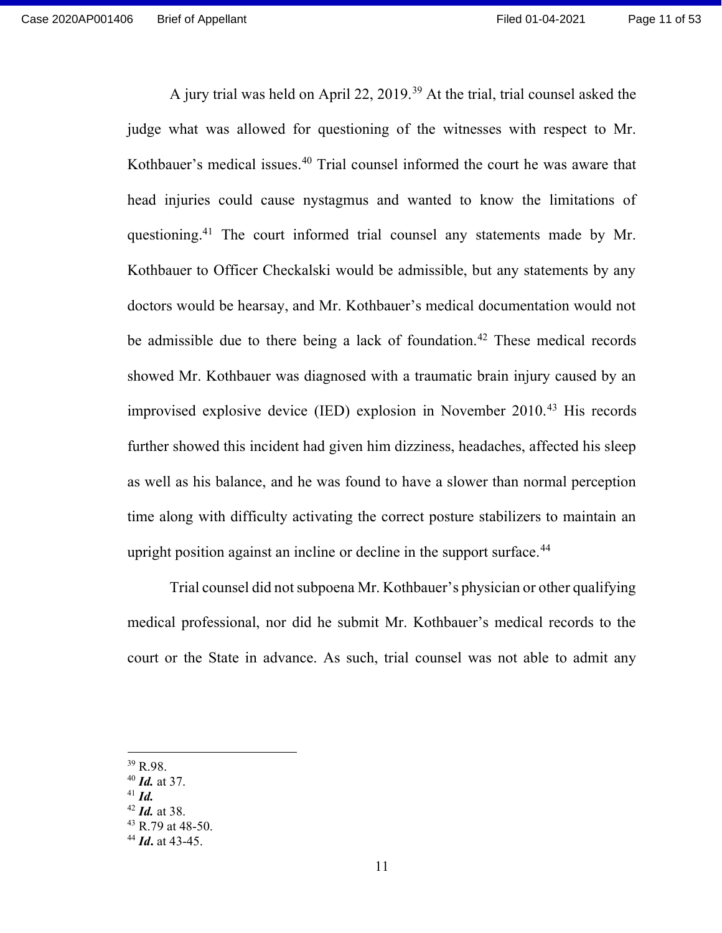A jury trial was held on April 22, 2019.<sup>39</sup> At the trial, trial counsel asked the judge what was allowed for questioning of the witnesses with respect to Mr. Kothbauer's medical issues.<sup>40</sup> Trial counsel informed the court he was aware that head injuries could cause nystagmus and wanted to know the limitations of questioning.<sup>41</sup> The court informed trial counsel any statements made by Mr. Kothbauer to Officer Checkalski would be admissible, but any statements by any doctors would be hearsay, and Mr. Kothbauer's medical documentation would not be admissible due to there being a lack of foundation.<sup>42</sup> These medical records showed Mr. Kothbauer was diagnosed with a traumatic brain injury caused by an improvised explosive device (IED) explosion in November 2010.<sup>43</sup> His records further showed this incident had given him dizziness, headaches, affected his sleep as well as his balance, and he was found to have a slower than normal perception time along with difficulty activating the correct posture stabilizers to maintain an upright position against an incline or decline in the support surface.<sup>44</sup>

Trial counsel did not subpoena Mr. Kothbauer's physician or other qualifying medical professional, nor did he submit Mr. Kothbauer's medical records to the court or the State in advance. As such, trial counsel was not able to admit any

 $41$  *Id.* 

<sup>39</sup> R.98.

 $40$  *Id.* at 37.

 $42$  *Id.* at 38.

<sup>43</sup> R.79 at 48-50.

 $44$  *Id.* at 43-45.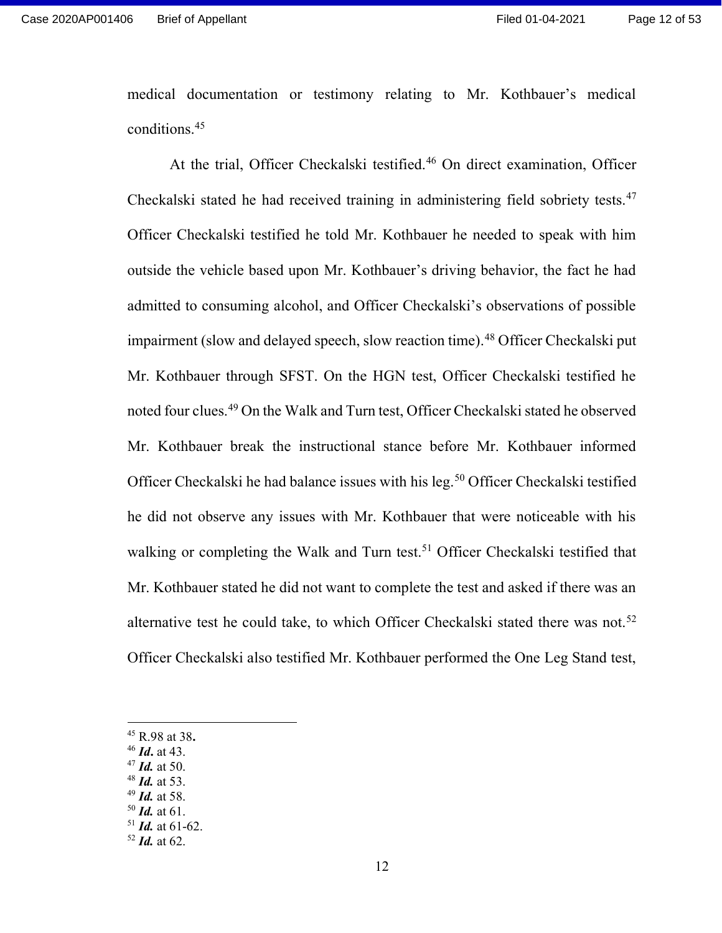medical documentation or testimony relating to Mr. Kothbauer's medical conditions.<sup>45</sup>

At the trial, Officer Checkalski testified.<sup>46</sup> On direct examination, Officer Checkalski stated he had received training in administering field sobriety tests.<sup>47</sup> Officer Checkalski testified he told Mr. Kothbauer he needed to speak with him outside the vehicle based upon Mr. Kothbauer's driving behavior, the fact he had admitted to consuming alcohol, and Officer Checkalski's observations of possible impairment (slow and delayed speech, slow reaction time).<sup>48</sup> Officer Checkalski put Mr. Kothbauer through SFST. On the HGN test, Officer Checkalski testified he noted four clues.<sup>49</sup> On the Walk and Turn test, Officer Checkalski stated he observed Mr. Kothbauer break the instructional stance before Mr. Kothbauer informed Officer Checkalski he had balance issues with his leg.<sup>50</sup> Officer Checkalski testified he did not observe any issues with Mr. Kothbauer that were noticeable with his walking or completing the Walk and Turn test.<sup>51</sup> Officer Checkalski testified that Mr. Kothbauer stated he did not want to complete the test and asked if there was an alternative test he could take, to which Officer Checkalski stated there was not.<sup>52</sup> Officer Checkalski also testified Mr. Kothbauer performed the One Leg Stand test,

- $47$  *Id.* at 50.
- $48$  *Id.* at 53.
- $49$  *Id.* at 58.  $50$  *Id.* at 61.

 $51$  *Id.* at 61-62.

<sup>45</sup> R.98 at 38.

 $46$  *Id.* at 43.

 $52$  *Id.* at 62.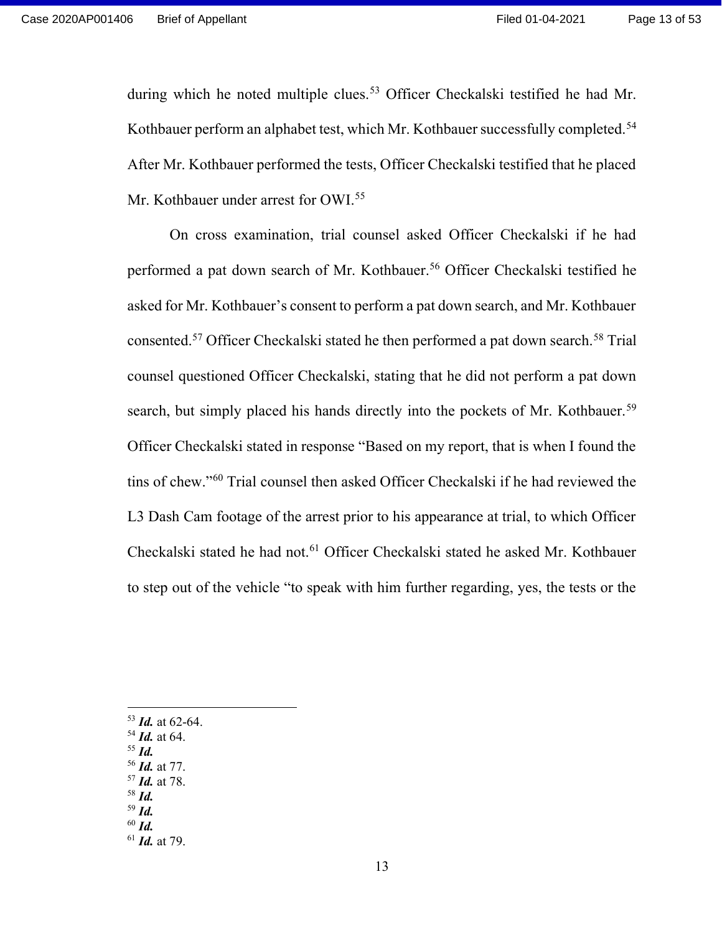during which he noted multiple clues.<sup>53</sup> Officer Checkalski testified he had Mr. Kothbauer perform an alphabet test, which Mr. Kothbauer successfully completed.<sup>54</sup> After Mr. Kothbauer performed the tests, Officer Checkalski testified that he placed Mr. Kothbauer under arrest for OWI.<sup>55</sup>

On cross examination, trial counsel asked Officer Checkalski if he had performed a pat down search of Mr. Kothbauer.<sup>56</sup> Officer Checkalski testified he asked for Mr. Kothbauer's consent to perform a pat down search, and Mr. Kothbauer consented.<sup>57</sup> Officer Checkalski stated he then performed a pat down search.<sup>58</sup> Trial counsel questioned Officer Checkalski, stating that he did not perform a pat down search, but simply placed his hands directly into the pockets of Mr. Kothbauer.<sup>59</sup> Officer Checkalski stated in response "Based on my report, that is when I found the tins of chew."<sup>60</sup> Trial counsel then asked Officer Checkalski if he had reviewed the L3 Dash Cam footage of the arrest prior to his appearance at trial, to which Officer Checkalski stated he had not.<sup>61</sup> Officer Checkalski stated he asked Mr. Kothbauer to step out of the vehicle "to speak with him further regarding, yes, the tests or the

- $53$  *Id.* at 62-64.
- $54$  *Id.* at 64.
- $55$  *Id.*
- <sup>56</sup> Id. at 77.
- $57$  *Id.* at 78.  $58$  *Id.*
- $59$  *Id.*
- $60$  *Id.*
- $61$  *Id.* at 79.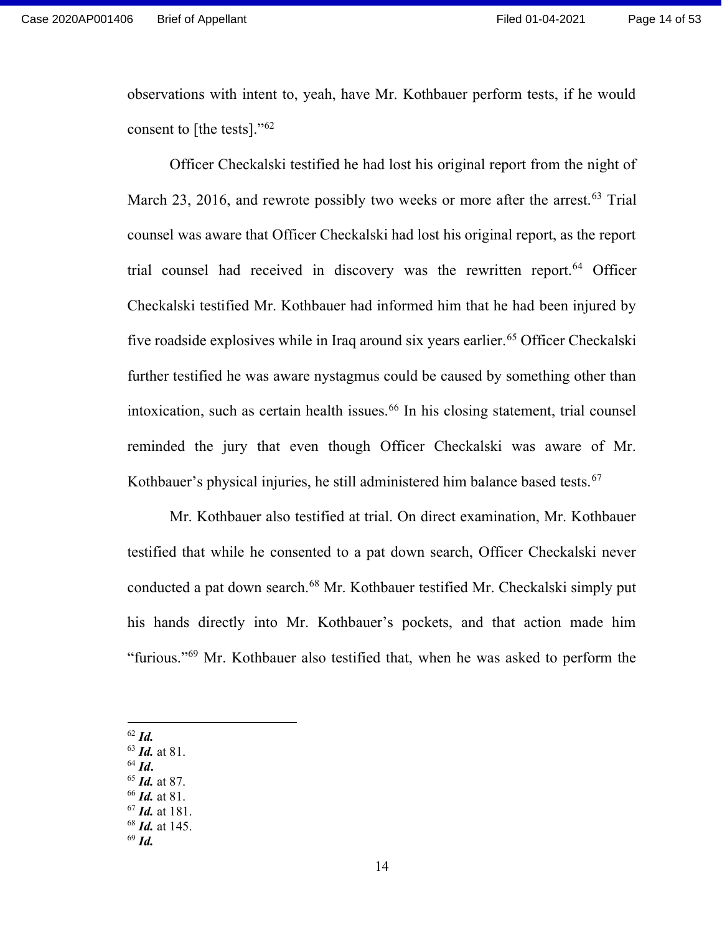observations with intent to, yeah, have Mr. Kothbauer perform tests, if he would consent to [the tests]." $62$ 

Officer Checkalski testified he had lost his original report from the night of March 23, 2016, and rewrote possibly two weeks or more after the arrest.<sup>63</sup> Trial counsel was aware that Officer Checkalski had lost his original report, as the report trial counsel had received in discovery was the rewritten report.<sup>64</sup> Officer Checkalski testified Mr. Kothbauer had informed him that he had been injured by five roadside explosives while in Iraq around six years earlier.<sup>65</sup> Officer Checkalski further testified he was aware nystagmus could be caused by something other than intoxication, such as certain health issues.<sup>66</sup> In his closing statement, trial counsel reminded the jury that even though Officer Checkalski was aware of Mr. Kothbauer's physical injuries, he still administered him balance based tests.<sup>67</sup>

Mr. Kothbauer also testified at trial. On direct examination, Mr. Kothbauer testified that while he consented to a pat down search, Officer Checkalski never conducted a pat down search.<sup>68</sup> Mr. Kothbauer testified Mr. Checkalski simply put his hands directly into Mr. Kothbauer's pockets, and that action made him "furious."<sup>69</sup> Mr. Kothbauer also testified that, when he was asked to perform the

- $62$  *Id.*
- $63$  *Id.* at 81.
- $64$  *Id.*
- $65$  *Id.* at 87.
- $66$  *Id.* at 81. <sup>67</sup> Id. at 181.
	-
- $68$  *Id.* at 145.  $69$  *Id.*

14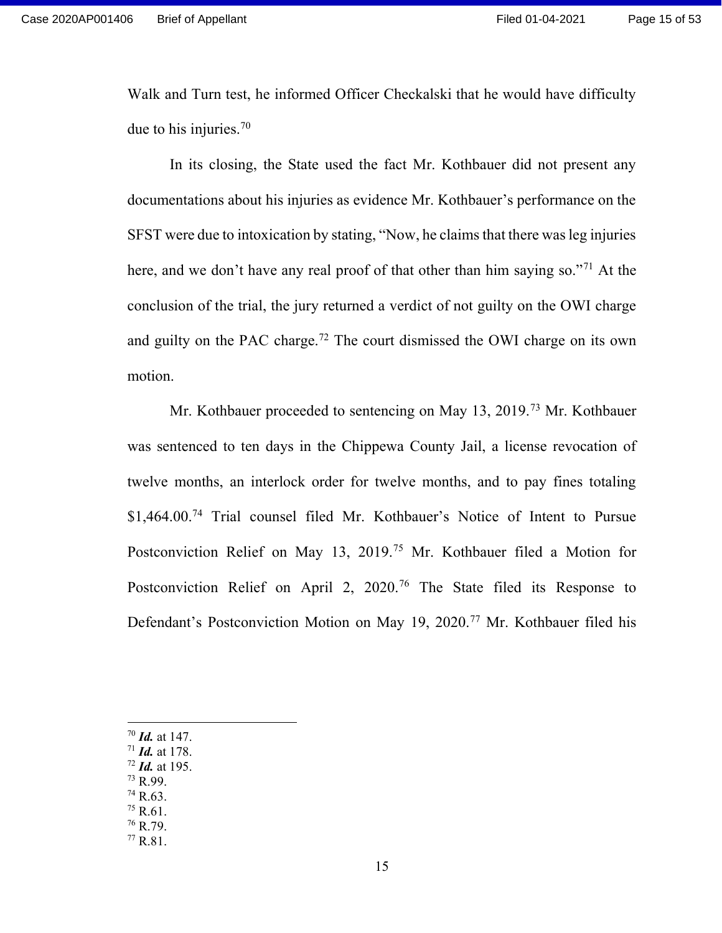Walk and Turn test, he informed Officer Checkalski that he would have difficulty due to his injuries.<sup>70</sup>

In its closing, the State used the fact Mr. Kothbauer did not present any documentations about his injuries as evidence Mr. Kothbauer's performance on the SFST were due to intoxication by stating, "Now, he claims that there was leg injuries here, and we don't have any real proof of that other than him saying so."<sup>71</sup> At the conclusion of the trial, the jury returned a verdict of not guilty on the OWI charge and guilty on the PAC charge.<sup>72</sup> The court dismissed the OWI charge on its own motion.

Mr. Kothbauer proceeded to sentencing on May 13, 2019.<sup>73</sup> Mr. Kothbauer was sentenced to ten days in the Chippewa County Jail, a license revocation of twelve months, an interlock order for twelve months, and to pay fines totaling \$1,464.00.<sup>74</sup> Trial counsel filed Mr. Kothbauer's Notice of Intent to Pursue Postconviction Relief on May 13, 2019.<sup>75</sup> Mr. Kothbauer filed a Motion for Postconviction Relief on April 2, 2020.<sup>76</sup> The State filed its Response to Defendant's Postconviction Motion on May 19, 2020.<sup>77</sup> Mr. Kothbauer filed his

- $70$  *Id.* at 147.
- $71$  *Id.* at 178.
- $72$  *Id.* at 195.
- <sup>73</sup> R.99. <sup>74</sup> R.63.
- <sup>75</sup> R.61.
- <sup>76</sup> R.79.
- <sup>77</sup> R.81.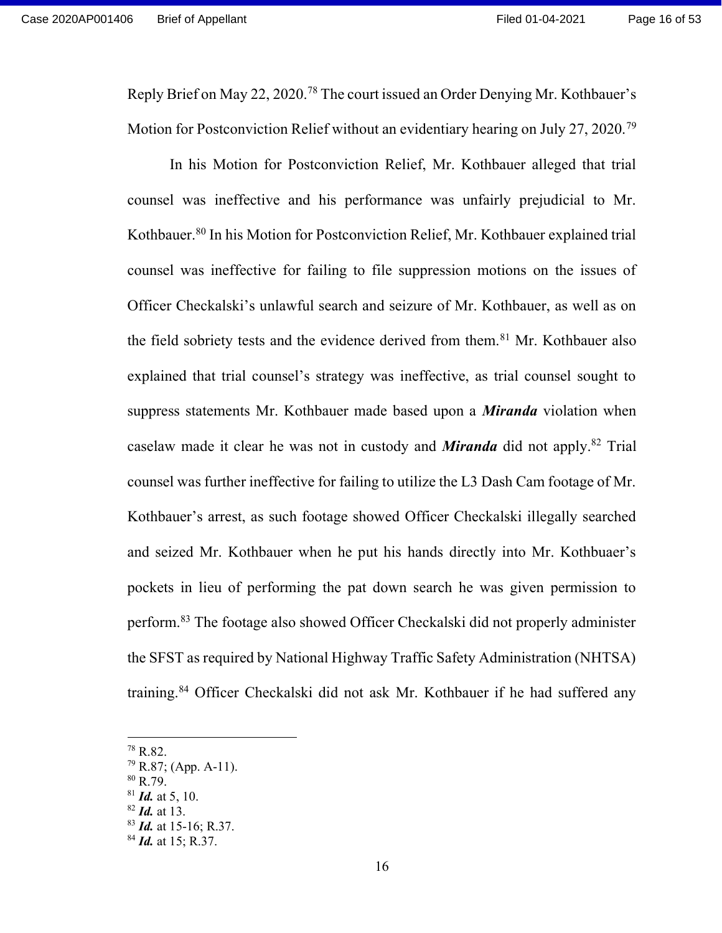Reply Brief on May 22, 2020.<sup>78</sup> The court issued an Order Denying Mr. Kothbauer's Motion for Postconviction Relief without an evidentiary hearing on July 27, 2020.<sup>79</sup>

In his Motion for Postconviction Relief, Mr. Kothbauer alleged that trial counsel was ineffective and his performance was unfairly prejudicial to Mr. Kothbauer.<sup>80</sup> In his Motion for Postconviction Relief, Mr. Kothbauer explained trial counsel was ineffective for failing to file suppression motions on the issues of Officer Checkalski's unlawful search and seizure of Mr. Kothbauer, as well as on the field sobriety tests and the evidence derived from them.<sup>81</sup> Mr. Kothbauer also explained that trial counsel's strategy was ineffective, as trial counsel sought to suppress statements Mr. Kothbauer made based upon a *Miranda* violation when caselaw made it clear he was not in custody and **Miranda** did not apply.<sup>82</sup> Trial counsel was further ineffective for failing to utilize the L3 Dash Cam footage of Mr. Kothbauer's arrest, as such footage showed Officer Checkalski illegally searched and seized Mr. Kothbauer when he put his hands directly into Mr. Kothbuaer's pockets in lieu of performing the pat down search he was given permission to perform.<sup>83</sup> The footage also showed Officer Checkalski did not properly administer the SFST as required by National Highway Traffic Safety Administration (NHTSA) training.<sup>84</sup> Officer Checkalski did not ask Mr. Kothbauer if he had suffered any

<sup>78</sup> R.82.

 $79$  R.87; (App. A-11).

 $80$  R.79.

 $81$  *Id.* at 5, 10.

 $82$  *Id.* at 13.

 $83$  *Id.* at 15-16; R.37.

 $^{84}$  *Id.* at 15; R.37.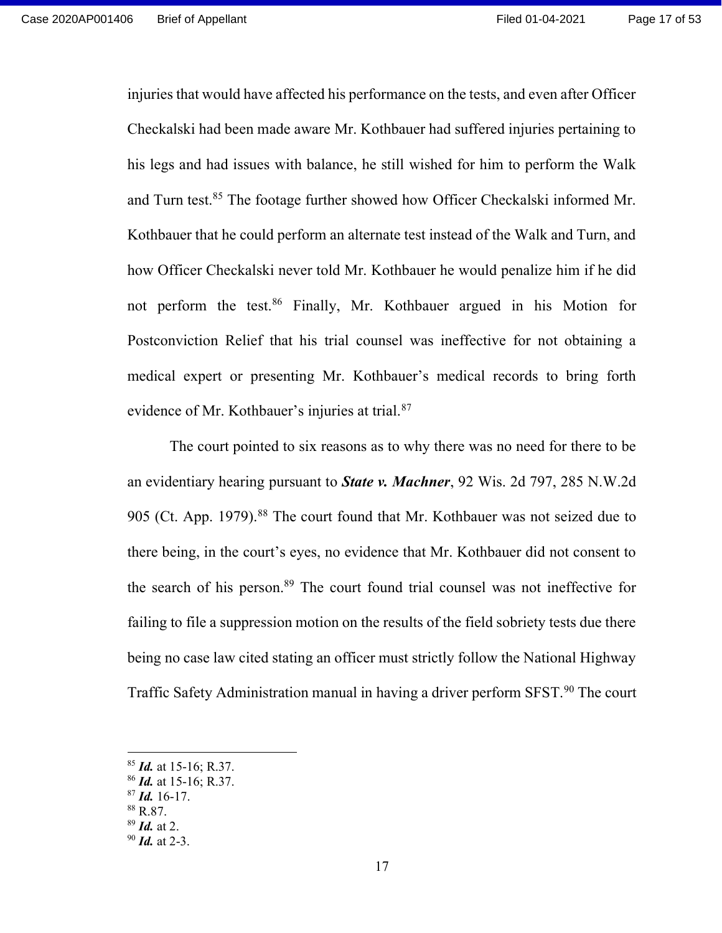injuries that would have affected his performance on the tests, and even after Officer Checkalski had been made aware Mr. Kothbauer had suffered injuries pertaining to his legs and had issues with balance, he still wished for him to perform the Walk and Turn test.<sup>85</sup> The footage further showed how Officer Checkalski informed Mr. Kothbauer that he could perform an alternate test instead of the Walk and Turn, and how Officer Checkalski never told Mr. Kothbauer he would penalize him if he did not perform the test.<sup>86</sup> Finally, Mr. Kothbauer argued in his Motion for Postconviction Relief that his trial counsel was ineffective for not obtaining a medical expert or presenting Mr. Kothbauer's medical records to bring forth evidence of Mr. Kothbauer's injuries at trial.<sup>87</sup>

The court pointed to six reasons as to why there was no need for there to be an evidentiary hearing pursuant to **State v. Machner**, 92 Wis. 2d 797, 285 N.W.2d 905 (Ct. App. 1979).<sup>88</sup> The court found that Mr. Kothbauer was not seized due to there being, in the court's eyes, no evidence that Mr. Kothbauer did not consent to the search of his person.<sup>89</sup> The court found trial counsel was not ineffective for failing to file a suppression motion on the results of the field sobriety tests due there being no case law cited stating an officer must strictly follow the National Highway Traffic Safety Administration manual in having a driver perform SFST.<sup>90</sup> The court

 $85$  *Id.* at 15-16; R.37.

 $86$  *Id.* at 15-16; R.37.

 $87$  *Id.* 16-17.

<sup>88</sup> R.87.

 $89$  *Id.* at 2.

 $90$  *Id.* at 2-3.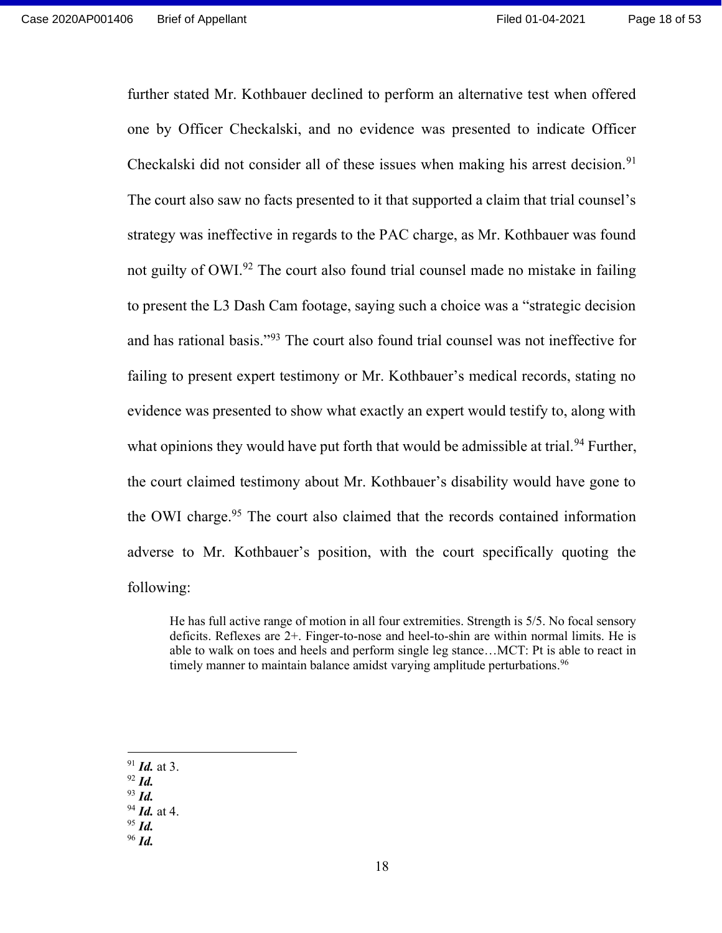further stated Mr. Kothbauer declined to perform an alternative test when offered one by Officer Checkalski, and no evidence was presented to indicate Officer Checkalski did not consider all of these issues when making his arrest decision.<sup>91</sup> The court also saw no facts presented to it that supported a claim that trial counsel's strategy was ineffective in regards to the PAC charge, as Mr. Kothbauer was found not guilty of OWI.<sup>92</sup> The court also found trial counsel made no mistake in failing to present the L3 Dash Cam footage, saying such a choice was a "strategic decision and has rational basis."<sup>93</sup> The court also found trial counsel was not ineffective for failing to present expert testimony or Mr. Kothbauer's medical records, stating no evidence was presented to show what exactly an expert would testify to, along with what opinions they would have put forth that would be admissible at trial.<sup>94</sup> Further, the court claimed testimony about Mr. Kothbauer's disability would have gone to the OWI charge.<sup>95</sup> The court also claimed that the records contained information adverse to Mr. Kothbauer's position, with the court specifically quoting the following:

He has full active range of motion in all four extremities. Strength is 5/5. No focal sensory deficits. Reflexes are 2+. Finger-to-nose and heel-to-shin are within normal limits. He is able to walk on toes and heels and perform single leg stance…MCT: Pt is able to react in timely manner to maintain balance amidst varying amplitude perturbations.<sup>96</sup>

- $91$  *Id.* at 3.
- $92$  *Id.*
- $93$  *Id.*
- $94$  *Id.* at 4.
- $95$  Id.
- $96$  *Id.*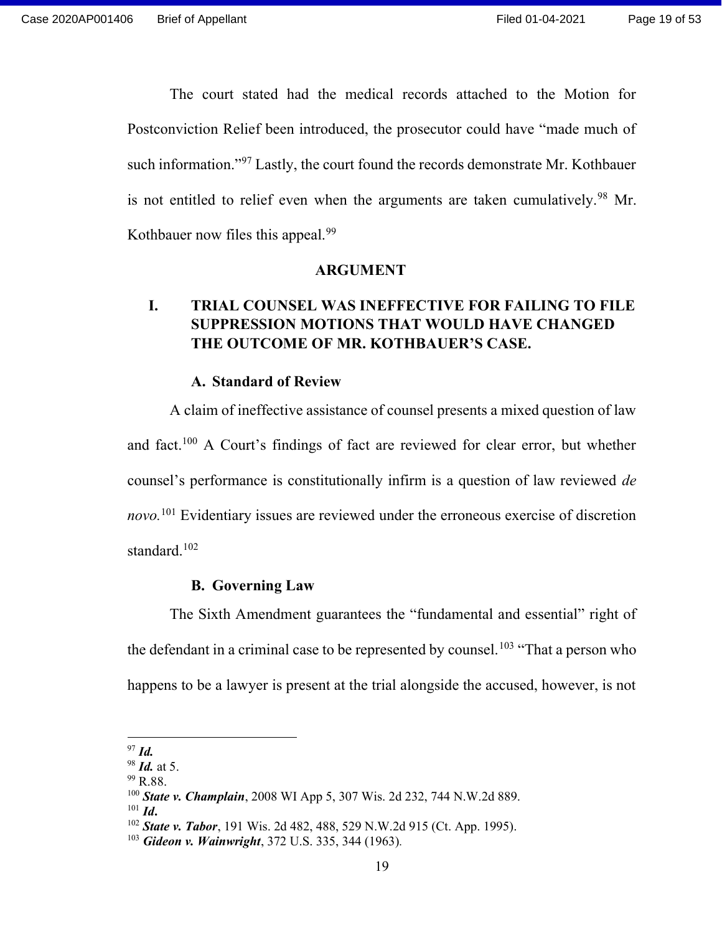The court stated had the medical records attached to the Motion for Postconviction Relief been introduced, the prosecutor could have "made much of such information."<sup>97</sup> Lastly, the court found the records demonstrate Mr. Kothbauer is not entitled to relief even when the arguments are taken cumulatively.<sup>98</sup> Mr. Kothbauer now files this appeal.<sup>99</sup>

#### ARGUMENT

## I. TRIAL COUNSEL WAS INEFFECTIVE FOR FAILING TO FILE SUPPRESSION MOTIONS THAT WOULD HAVE CHANGED THE OUTCOME OF MR. KOTHBAUER'S CASE.

#### A. Standard of Review

A claim of ineffective assistance of counsel presents a mixed question of law and fact.<sup>100</sup> A Court's findings of fact are reviewed for clear error, but whether counsel's performance is constitutionally infirm is a question of law reviewed de novo.<sup>101</sup> Evidentiary issues are reviewed under the erroneous exercise of discretion standard.<sup>102</sup>

### B. Governing Law

The Sixth Amendment guarantees the "fundamental and essential" right of the defendant in a criminal case to be represented by counsel.<sup>103</sup> "That a person who happens to be a lawyer is present at the trial alongside the accused, however, is not

 $97$  Id.

 $98$  *Id.* at 5.

 $99$  R.88.

<sup>&</sup>lt;sup>100</sup> State v. Champlain, 2008 WI App 5, 307 Wis. 2d 232, 744 N.W.2d 889.

 $101$  *Id.* 

 $102$  State v. Tabor, 191 Wis. 2d 482, 488, 529 N.W.2d 915 (Ct. App. 1995).

 $103$  Gideon v. Wainwright, 372 U.S. 335, 344 (1963).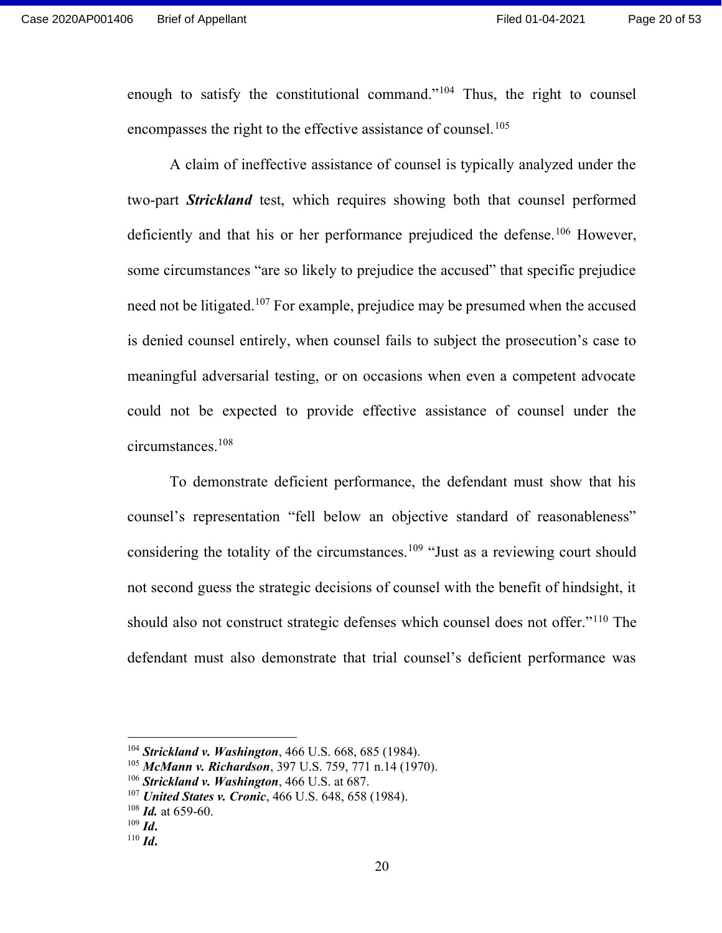enough to satisfy the constitutional command."<sup>104</sup> Thus, the right to counsel encompasses the right to the effective assistance of counsel.<sup>105</sup>

A claim of ineffective assistance of counsel is typically analyzed under the two-part **Strickland** test, which requires showing both that counsel performed deficiently and that his or her performance prejudiced the defense.<sup>106</sup> However, some circumstances "are so likely to prejudice the accused" that specific prejudice need not be litigated.<sup>107</sup> For example, prejudice may be presumed when the accused is denied counsel entirely, when counsel fails to subject the prosecution's case to meaningful adversarial testing, or on occasions when even a competent advocate could not be expected to provide effective assistance of counsel under the circumstances.<sup>108</sup>

To demonstrate deficient performance, the defendant must show that his counsel's representation "fell below an objective standard of reasonableness" considering the totality of the circumstances.<sup>109</sup> "Just as a reviewing court should not second guess the strategic decisions of counsel with the benefit of hindsight, it should also not construct strategic defenses which counsel does not offer."<sup>110</sup> The defendant must also demonstrate that trial counsel's deficient performance was

 $104$  Strickland v. Washington, 466 U.S. 668, 685 (1984).

 $105$  McMann v. Richardson, 397 U.S. 759, 771 n.14 (1970).

 $106$  Strickland v. Washington, 466 U.S. at 687.

 $107$  United States v. Cronic, 466 U.S. 648, 658 (1984).

 $108$  *Id.* at 659-60.

 $109$  *Id.* 

 $110$  *Id.*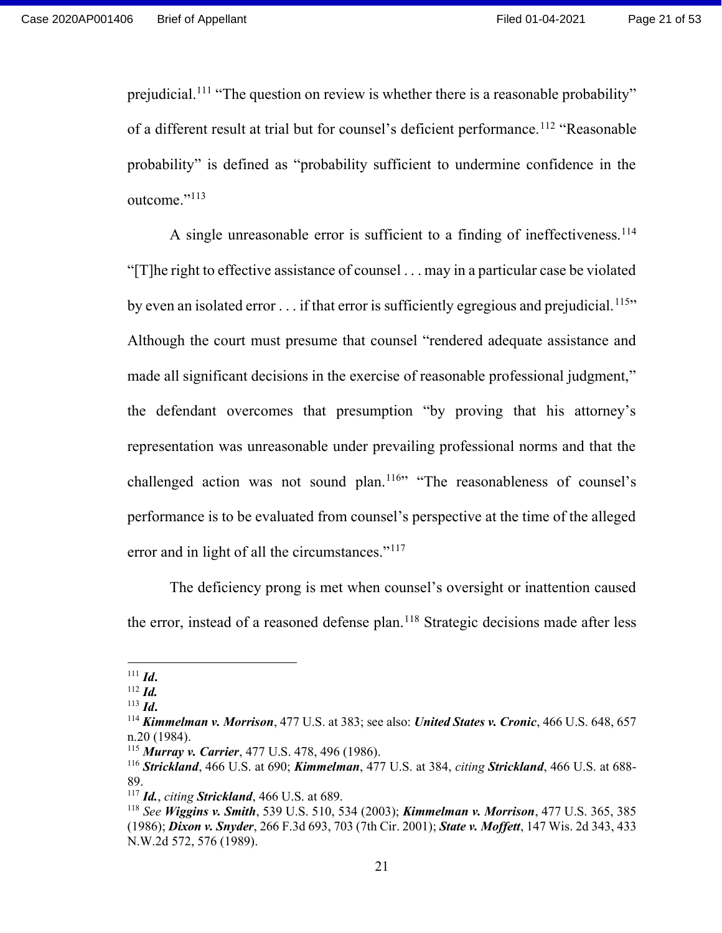prejudicial.<sup>111</sup> "The question on review is whether there is a reasonable probability" of a different result at trial but for counsel's deficient performance.<sup>112</sup> "Reasonable probability" is defined as "probability sufficient to undermine confidence in the outcome."<sup>113</sup>

A single unreasonable error is sufficient to a finding of ineffectiveness.<sup>114</sup> "[T]he right to effective assistance of counsel . . . may in a particular case be violated by even an isolated error  $\dots$  if that error is sufficiently egregious and prejudicial.<sup>115</sup>" Although the court must presume that counsel "rendered adequate assistance and made all significant decisions in the exercise of reasonable professional judgment," the defendant overcomes that presumption "by proving that his attorney's representation was unreasonable under prevailing professional norms and that the challenged action was not sound plan.<sup>116</sup>" "The reasonableness of counsel's performance is to be evaluated from counsel's perspective at the time of the alleged error and in light of all the circumstances."<sup>117</sup>

The deficiency prong is met when counsel's oversight or inattention caused the error, instead of a reasoned defense plan.<sup>118</sup> Strategic decisions made after less

 $111$  *Id.* 

 $112$  *Id.* 

 $113$  *Id.* 

 $114$  Kimmelman v. Morrison, 477 U.S. at 383; see also: United States v. Cronic, 466 U.S. 648, 657 n.20 (1984).

 $115$  Murray v. Carrier, 477 U.S. 478, 496 (1986).

 $116$  Strickland, 466 U.S. at 690; Kimmelman, 477 U.S. at 384, citing Strickland, 466 U.S. at 688-89.

 $117$  *Id., citing Strickland,* 466 U.S. at 689.

<sup>&</sup>lt;sup>118</sup> See Wiggins v. Smith, 539 U.S. 510, 534 (2003); Kimmelman v. Morrison, 477 U.S. 365, 385 (1986); Dixon v. Snyder, 266 F.3d 693, 703 (7th Cir. 2001); State v. Moffett, 147 Wis. 2d 343, 433 N.W.2d 572, 576 (1989).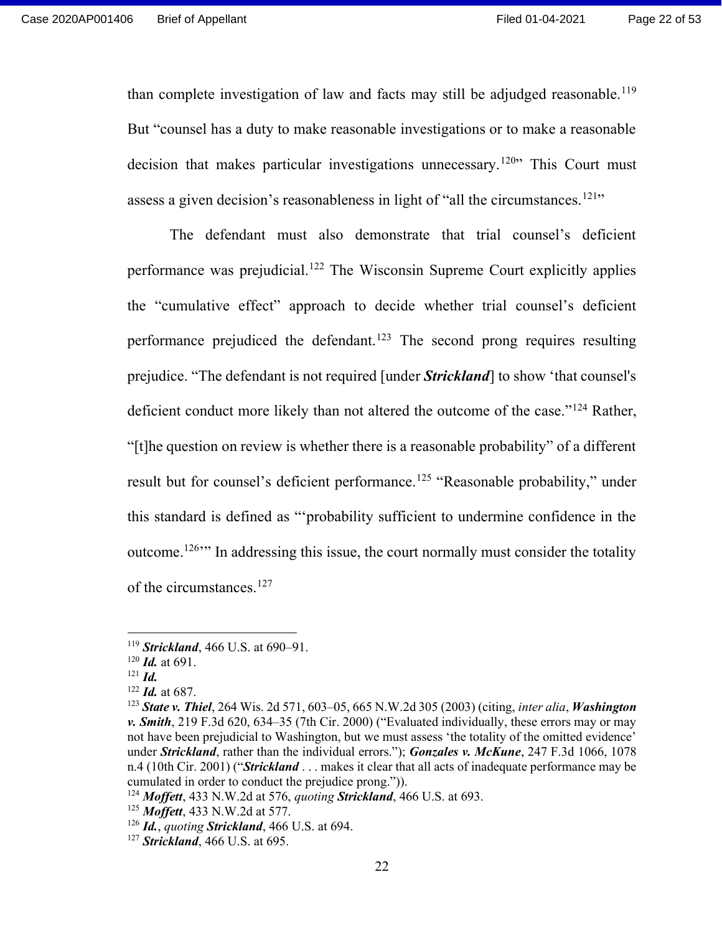than complete investigation of law and facts may still be adjudged reasonable.<sup>119</sup> But "counsel has a duty to make reasonable investigations or to make a reasonable decision that makes particular investigations unnecessary.<sup>120</sup> This Court must assess a given decision's reasonableness in light of "all the circumstances.<sup>121</sup>"

 The defendant must also demonstrate that trial counsel's deficient performance was prejudicial.<sup>122</sup> The Wisconsin Supreme Court explicitly applies the "cumulative effect" approach to decide whether trial counsel's deficient performance prejudiced the defendant.<sup>123</sup> The second prong requires resulting prejudice. "The defendant is not required [under **Strickland**] to show 'that counsel's deficient conduct more likely than not altered the outcome of the case."<sup>124</sup> Rather, "[t]he question on review is whether there is a reasonable probability" of a different result but for counsel's deficient performance.<sup>125</sup> "Reasonable probability," under this standard is defined as "'probability sufficient to undermine confidence in the outcome.<sup>126</sup><sup>\*\*</sup> In addressing this issue, the court normally must consider the totality of the circumstances.<sup>127</sup>

 $119$  Strickland, 466 U.S. at 690–91.

 $120$  *Id.* at 691.

 $121$  *Id.* 

 $122$  *Id.* at 687.

<sup>&</sup>lt;sup>123</sup> State v. Thiel, 264 Wis. 2d 571, 603-05, 665 N.W.2d 305 (2003) (citing, inter alia, Washington v. **Smith**, 219 F.3d 620, 634–35 (7th Cir. 2000) ("Evaluated individually, these errors may or may not have been prejudicial to Washington, but we must assess 'the totality of the omitted evidence' under Strickland, rather than the individual errors."); Gonzales v. McKune, 247 F.3d 1066, 1078 n.4 (10th Cir. 2001) ("**Strickland** . . . makes it clear that all acts of inadequate performance may be cumulated in order to conduct the prejudice prong.")).

 $124$  Moffett, 433 N.W.2d at 576, quoting Strickland, 466 U.S. at 693.

<sup>125</sup> Moffett, 433 N.W.2d at 577.

 $126$  *Id., quoting Strickland,* 466 U.S. at 694.

 $127$  Strickland, 466 U.S. at 695.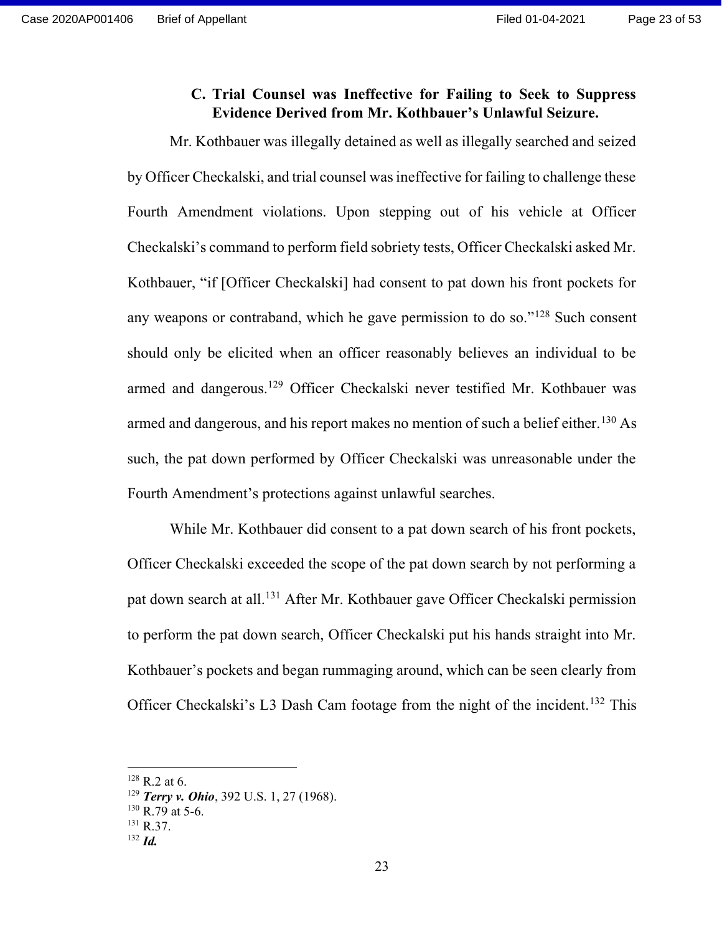## C. Trial Counsel was Ineffective for Failing to Seek to Suppress Evidence Derived from Mr. Kothbauer's Unlawful Seizure.

Mr. Kothbauer was illegally detained as well as illegally searched and seized by Officer Checkalski, and trial counsel was ineffective for failing to challenge these Fourth Amendment violations. Upon stepping out of his vehicle at Officer Checkalski's command to perform field sobriety tests, Officer Checkalski asked Mr. Kothbauer, "if [Officer Checkalski] had consent to pat down his front pockets for any weapons or contraband, which he gave permission to do so."<sup>128</sup> Such consent should only be elicited when an officer reasonably believes an individual to be armed and dangerous.<sup>129</sup> Officer Checkalski never testified Mr. Kothbauer was armed and dangerous, and his report makes no mention of such a belief either.<sup>130</sup> As such, the pat down performed by Officer Checkalski was unreasonable under the Fourth Amendment's protections against unlawful searches.

While Mr. Kothbauer did consent to a pat down search of his front pockets, Officer Checkalski exceeded the scope of the pat down search by not performing a pat down search at all.<sup>131</sup> After Mr. Kothbauer gave Officer Checkalski permission to perform the pat down search, Officer Checkalski put his hands straight into Mr. Kothbauer's pockets and began rummaging around, which can be seen clearly from Officer Checkalski's L3 Dash Cam footage from the night of the incident.<sup>132</sup> This

 $128$  R.2 at 6.

<sup>&</sup>lt;sup>129</sup> Terry v. Ohio, 392 U.S. 1, 27 (1968).

 $130$  R.79 at 5-6.

<sup>&</sup>lt;sup>131</sup> R.37.

 $132$  *Id.*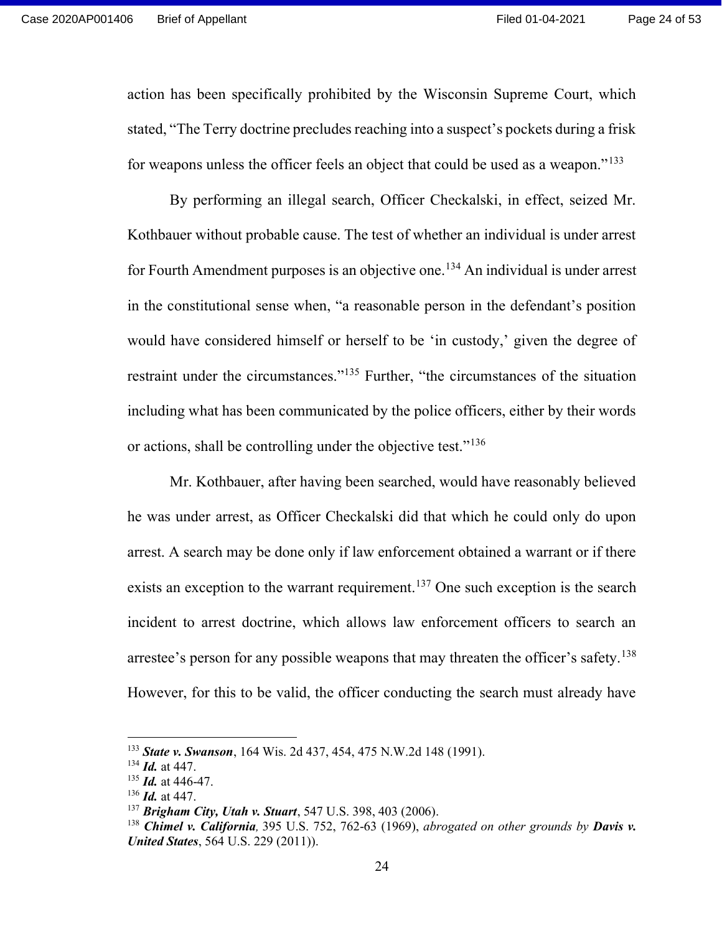action has been specifically prohibited by the Wisconsin Supreme Court, which stated, "The Terry doctrine precludes reaching into a suspect's pockets during a frisk for weapons unless the officer feels an object that could be used as a weapon."<sup>133</sup>

By performing an illegal search, Officer Checkalski, in effect, seized Mr. Kothbauer without probable cause. The test of whether an individual is under arrest for Fourth Amendment purposes is an objective one.<sup>134</sup> An individual is under arrest in the constitutional sense when, "a reasonable person in the defendant's position would have considered himself or herself to be 'in custody,' given the degree of restraint under the circumstances."<sup>135</sup> Further, "the circumstances of the situation including what has been communicated by the police officers, either by their words or actions, shall be controlling under the objective test."<sup>136</sup>

Mr. Kothbauer, after having been searched, would have reasonably believed he was under arrest, as Officer Checkalski did that which he could only do upon arrest. A search may be done only if law enforcement obtained a warrant or if there exists an exception to the warrant requirement.<sup>137</sup> One such exception is the search incident to arrest doctrine, which allows law enforcement officers to search an arrestee's person for any possible weapons that may threaten the officer's safety.<sup>138</sup> However, for this to be valid, the officer conducting the search must already have

<sup>133</sup> State v. Swanson, 164 Wis. 2d 437, 454, 475 N.W.2d 148 (1991).

 $134$  *Id.* at 447.

 $135$  *Id.* at 446-47.

 $136$  *Id.* at 447.

<sup>&</sup>lt;sup>137</sup> Brigham City, Utah v. Stuart, 547 U.S. 398, 403 (2006).

<sup>&</sup>lt;sup>138</sup> Chimel v. California, 395 U.S. 752, 762-63 (1969), abrogated on other grounds by **Davis v.** United States, 564 U.S. 229 (2011)).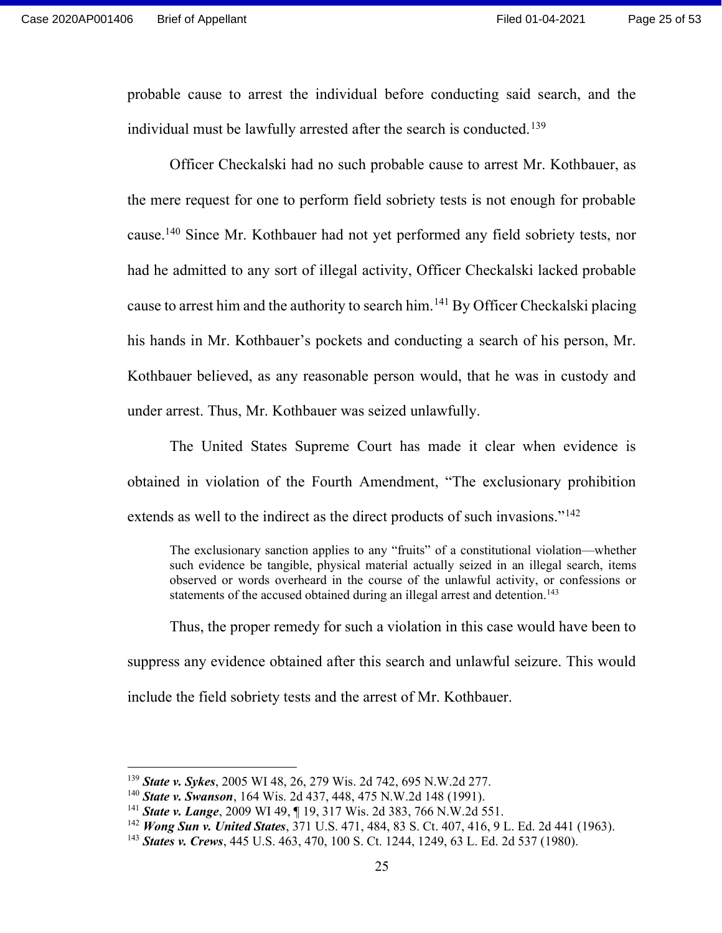probable cause to arrest the individual before conducting said search, and the individual must be lawfully arrested after the search is conducted.<sup>139</sup>

Officer Checkalski had no such probable cause to arrest Mr. Kothbauer, as the mere request for one to perform field sobriety tests is not enough for probable cause.<sup>140</sup> Since Mr. Kothbauer had not yet performed any field sobriety tests, nor had he admitted to any sort of illegal activity, Officer Checkalski lacked probable cause to arrest him and the authority to search him.<sup>141</sup> By Officer Checkalski placing his hands in Mr. Kothbauer's pockets and conducting a search of his person, Mr. Kothbauer believed, as any reasonable person would, that he was in custody and under arrest. Thus, Mr. Kothbauer was seized unlawfully.

The United States Supreme Court has made it clear when evidence is obtained in violation of the Fourth Amendment, "The exclusionary prohibition extends as well to the indirect as the direct products of such invasions."<sup>142</sup>

The exclusionary sanction applies to any "fruits" of a constitutional violation—whether such evidence be tangible, physical material actually seized in an illegal search, items observed or words overheard in the course of the unlawful activity, or confessions or statements of the accused obtained during an illegal arrest and detention.<sup>143</sup>

Thus, the proper remedy for such a violation in this case would have been to suppress any evidence obtained after this search and unlawful seizure. This would include the field sobriety tests and the arrest of Mr. Kothbauer.

<sup>&</sup>lt;sup>139</sup> State v. Sykes, 2005 WI 48, 26, 279 Wis. 2d 742, 695 N.W.2d 277.

<sup>&</sup>lt;sup>140</sup> State v. Swanson, 164 Wis. 2d 437, 448, 475 N.W.2d 148 (1991).

<sup>&</sup>lt;sup>141</sup> State v. Lange, 2009 WI 49, ¶ 19, 317 Wis. 2d 383, 766 N.W.2d 551.

<sup>&</sup>lt;sup>142</sup> Wong Sun v. United States, 371 U.S. 471, 484, 83 S. Ct. 407, 416, 9 L. Ed. 2d 441 (1963).

<sup>&</sup>lt;sup>143</sup> States v. Crews, 445 U.S. 463, 470, 100 S. Ct. 1244, 1249, 63 L. Ed. 2d 537 (1980).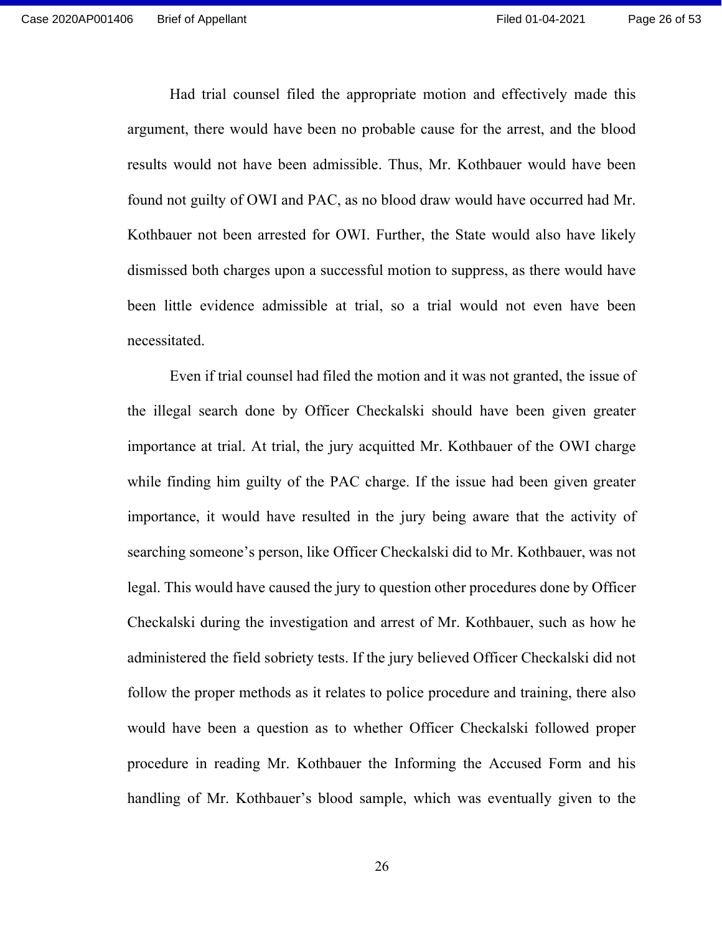Had trial counsel filed the appropriate motion and effectively made this argument, there would have been no probable cause for the arrest, and the blood results would not have been admissible. Thus, Mr. Kothbauer would have been found not guilty of OWI and PAC, as no blood draw would have occurred had Mr. Kothbauer not been arrested for OWI. Further, the State would also have likely dismissed both charges upon a successful motion to suppress, as there would have been little evidence admissible at trial, so a trial would not even have been necessitated.

Even if trial counsel had filed the motion and it was not granted, the issue of the illegal search done by Officer Checkalski should have been given greater importance at trial. At trial, the jury acquitted Mr. Kothbauer of the OWI charge while finding him guilty of the PAC charge. If the issue had been given greater importance, it would have resulted in the jury being aware that the activity of searching someone's person, like Officer Checkalski did to Mr. Kothbauer, was not legal. This would have caused the jury to question other procedures done by Officer Checkalski during the investigation and arrest of Mr. Kothbauer, such as how he administered the field sobriety tests. If the jury believed Officer Checkalski did not follow the proper methods as it relates to police procedure and training, there also would have been a question as to whether Officer Checkalski followed proper procedure in reading Mr. Kothbauer the Informing the Accused Form and his handling of Mr. Kothbauer's blood sample, which was eventually given to the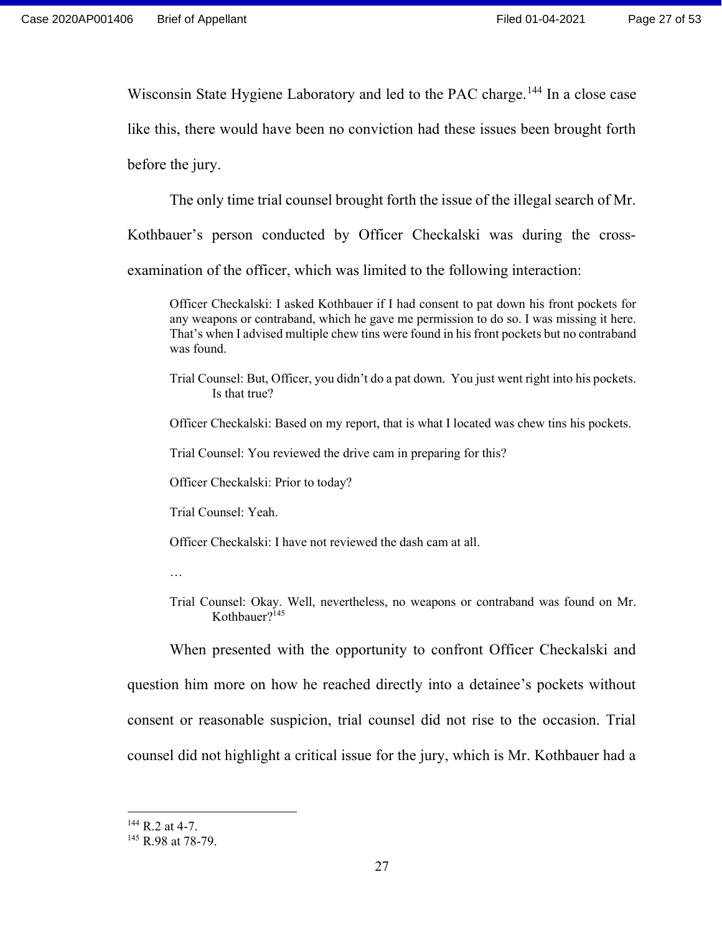Wisconsin State Hygiene Laboratory and led to the PAC charge.<sup>144</sup> In a close case

like this, there would have been no conviction had these issues been brought forth

before the jury.

The only time trial counsel brought forth the issue of the illegal search of Mr.

Kothbauer's person conducted by Officer Checkalski was during the cross-

examination of the officer, which was limited to the following interaction:

Officer Checkalski: I asked Kothbauer if I had consent to pat down his front pockets for any weapons or contraband, which he gave me permission to do so. I was missing it here. That's when I advised multiple chew tins were found in his front pockets but no contraband was found.

Trial Counsel: But, Officer, you didn't do a pat down. You just went right into his pockets. Is that true?

Officer Checkalski: Based on my report, that is what I located was chew tins his pockets.

Trial Counsel: You reviewed the drive cam in preparing for this?

Officer Checkalski: Prior to today?

Trial Counsel: Yeah.

Officer Checkalski: I have not reviewed the dash cam at all.

…

Trial Counsel: Okay. Well, nevertheless, no weapons or contraband was found on Mr. Kothbauer?<sup>145</sup>

When presented with the opportunity to confront Officer Checkalski and question him more on how he reached directly into a detainee's pockets without consent or reasonable suspicion, trial counsel did not rise to the occasion. Trial counsel did not highlight a critical issue for the jury, which is Mr. Kothbauer had a

 $144$  R.2 at 4-7.

<sup>&</sup>lt;sup>145</sup> R.98 at 78-79.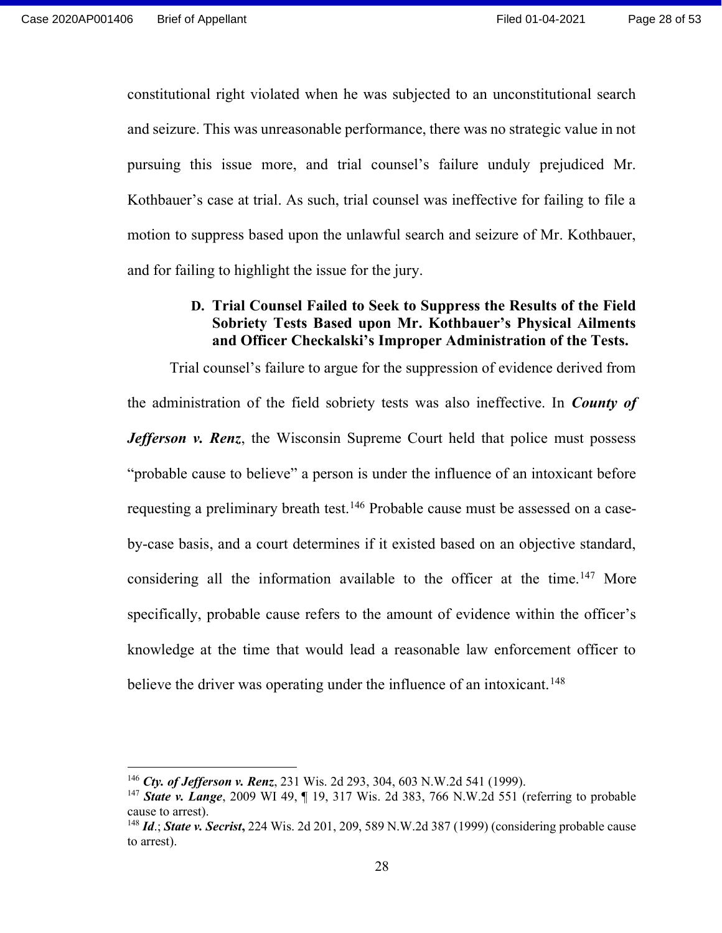constitutional right violated when he was subjected to an unconstitutional search and seizure. This was unreasonable performance, there was no strategic value in not pursuing this issue more, and trial counsel's failure unduly prejudiced Mr. Kothbauer's case at trial. As such, trial counsel was ineffective for failing to file a motion to suppress based upon the unlawful search and seizure of Mr. Kothbauer, and for failing to highlight the issue for the jury.

## D. Trial Counsel Failed to Seek to Suppress the Results of the Field Sobriety Tests Based upon Mr. Kothbauer's Physical Ailments and Officer Checkalski's Improper Administration of the Tests.

Trial counsel's failure to argue for the suppression of evidence derived from the administration of the field sobriety tests was also ineffective. In *County of Jefferson v. Renz*, the Wisconsin Supreme Court held that police must possess "probable cause to believe" a person is under the influence of an intoxicant before requesting a preliminary breath test.<sup>146</sup> Probable cause must be assessed on a caseby-case basis, and a court determines if it existed based on an objective standard, considering all the information available to the officer at the time.<sup>147</sup> More specifically, probable cause refers to the amount of evidence within the officer's knowledge at the time that would lead a reasonable law enforcement officer to believe the driver was operating under the influence of an intoxicant.<sup>148</sup>

<sup>&</sup>lt;sup>146</sup> Cty. of Jefferson v. Renz, 231 Wis. 2d 293, 304, 603 N.W.2d 541 (1999).

<sup>&</sup>lt;sup>147</sup> State v. Lange, 2009 WI 49,  $\P$  19, 317 Wis. 2d 383, 766 N.W.2d 551 (referring to probable cause to arrest).

<sup>&</sup>lt;sup>148</sup> *Id.*; *State v. Secrist*, 224 Wis. 2d 201, 209, 589 N.W.2d 387 (1999) (considering probable cause to arrest).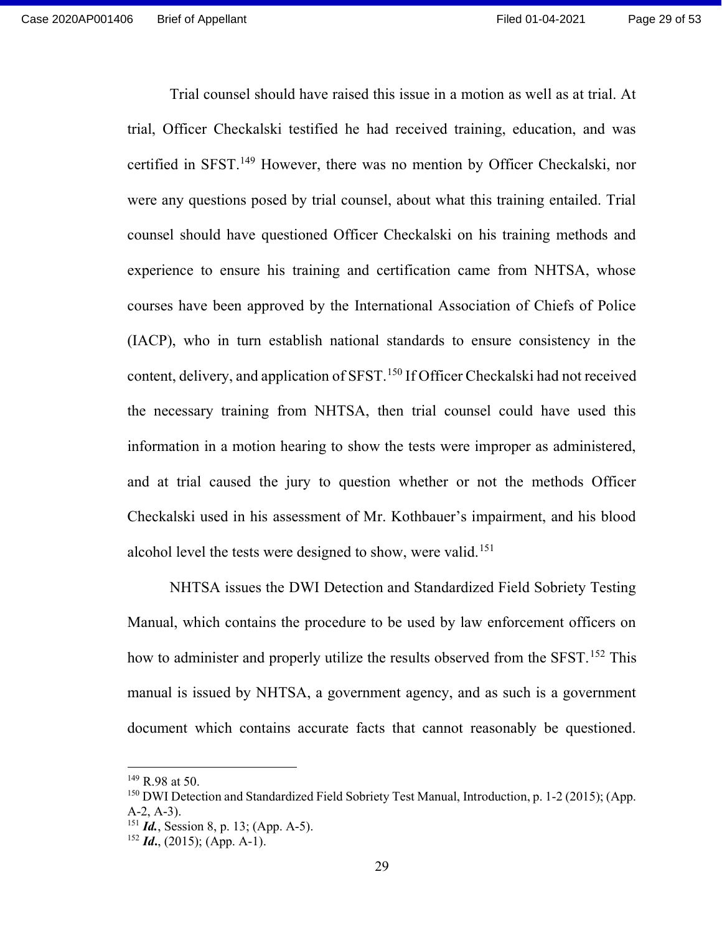Trial counsel should have raised this issue in a motion as well as at trial. At trial, Officer Checkalski testified he had received training, education, and was certified in SFST.<sup>149</sup> However, there was no mention by Officer Checkalski, nor were any questions posed by trial counsel, about what this training entailed. Trial counsel should have questioned Officer Checkalski on his training methods and experience to ensure his training and certification came from NHTSA, whose courses have been approved by the International Association of Chiefs of Police (IACP), who in turn establish national standards to ensure consistency in the content, delivery, and application of SFST.<sup>150</sup> If Officer Checkalski had not received the necessary training from NHTSA, then trial counsel could have used this information in a motion hearing to show the tests were improper as administered, and at trial caused the jury to question whether or not the methods Officer Checkalski used in his assessment of Mr. Kothbauer's impairment, and his blood alcohol level the tests were designed to show, were valid.<sup>151</sup>

NHTSA issues the DWI Detection and Standardized Field Sobriety Testing Manual, which contains the procedure to be used by law enforcement officers on how to administer and properly utilize the results observed from the SFST.<sup>152</sup> This manual is issued by NHTSA, a government agency, and as such is a government document which contains accurate facts that cannot reasonably be questioned.

 $149$  R.98 at 50.

<sup>150</sup> DWI Detection and Standardized Field Sobriety Test Manual, Introduction, p. 1-2 (2015); (App. A-2, A-3).

 $151$  *Id.*, Session 8, p. 13; (App. A-5).

 $152$  *Id.*, (2015); (App. A-1).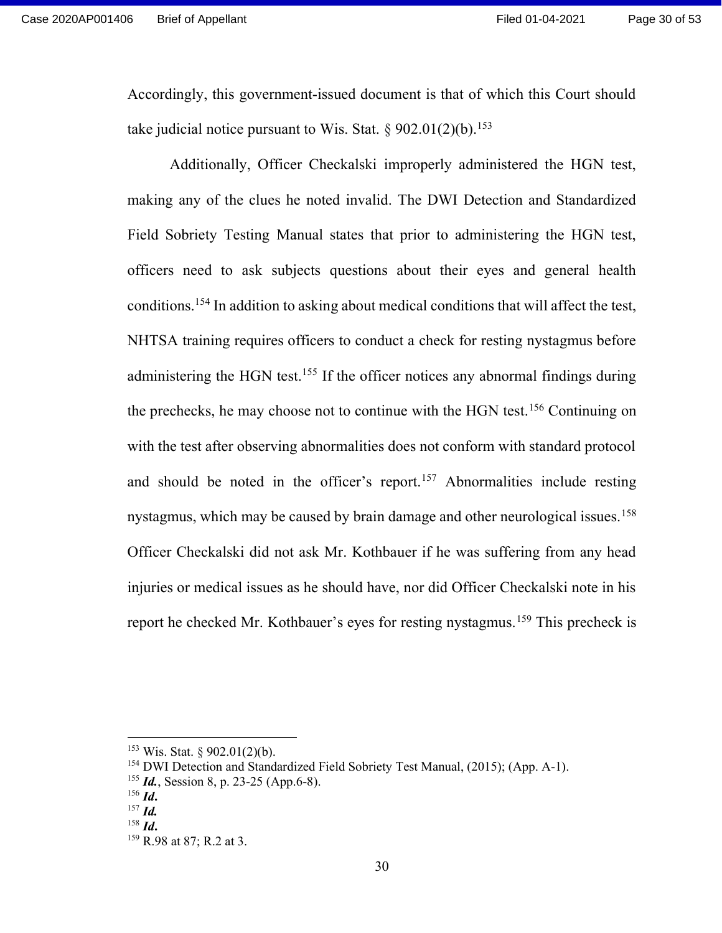Accordingly, this government-issued document is that of which this Court should take judicial notice pursuant to Wis. Stat.  $\S 902.01(2)(b)$ <sup>153</sup>

Additionally, Officer Checkalski improperly administered the HGN test, making any of the clues he noted invalid. The DWI Detection and Standardized Field Sobriety Testing Manual states that prior to administering the HGN test, officers need to ask subjects questions about their eyes and general health conditions.<sup>154</sup> In addition to asking about medical conditions that will affect the test, NHTSA training requires officers to conduct a check for resting nystagmus before administering the HGN test.<sup>155</sup> If the officer notices any abnormal findings during the prechecks, he may choose not to continue with the HGN test.<sup>156</sup> Continuing on with the test after observing abnormalities does not conform with standard protocol and should be noted in the officer's report.<sup>157</sup> Abnormalities include resting nystagmus, which may be caused by brain damage and other neurological issues.<sup>158</sup> Officer Checkalski did not ask Mr. Kothbauer if he was suffering from any head injuries or medical issues as he should have, nor did Officer Checkalski note in his report he checked Mr. Kothbauer's eyes for resting nystagmus.<sup>159</sup> This precheck is

 $153$  Wis. Stat. § 902.01(2)(b).

<sup>154</sup> DWI Detection and Standardized Field Sobriety Test Manual, (2015); (App. A-1).

 $155$  *Id.*, Session 8, p. 23-25 (App.6-8).

 $156$  *Id.* 

 $^{157}$  *Id.* 

 $158$  *Id.* 

<sup>&</sup>lt;sup>159</sup> R.98 at 87; R.2 at 3.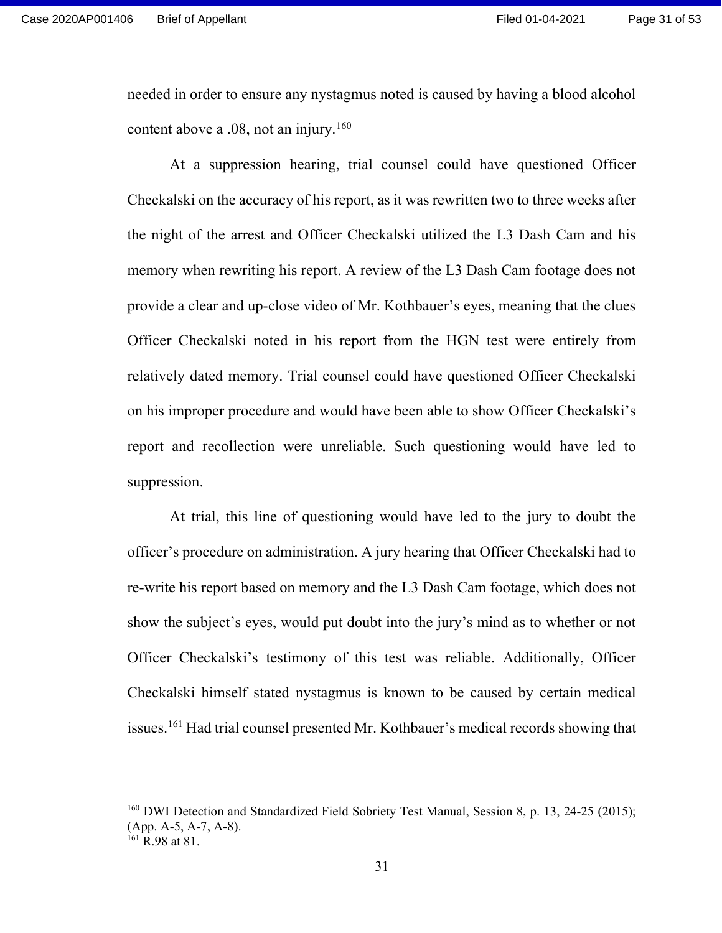needed in order to ensure any nystagmus noted is caused by having a blood alcohol content above a  $.08$ , not an injury.<sup>160</sup>

At a suppression hearing, trial counsel could have questioned Officer Checkalski on the accuracy of his report, as it was rewritten two to three weeks after the night of the arrest and Officer Checkalski utilized the L3 Dash Cam and his memory when rewriting his report. A review of the L3 Dash Cam footage does not provide a clear and up-close video of Mr. Kothbauer's eyes, meaning that the clues Officer Checkalski noted in his report from the HGN test were entirely from relatively dated memory. Trial counsel could have questioned Officer Checkalski on his improper procedure and would have been able to show Officer Checkalski's report and recollection were unreliable. Such questioning would have led to suppression.

At trial, this line of questioning would have led to the jury to doubt the officer's procedure on administration. A jury hearing that Officer Checkalski had to re-write his report based on memory and the L3 Dash Cam footage, which does not show the subject's eyes, would put doubt into the jury's mind as to whether or not Officer Checkalski's testimony of this test was reliable. Additionally, Officer Checkalski himself stated nystagmus is known to be caused by certain medical issues.<sup>161</sup> Had trial counsel presented Mr. Kothbauer's medical records showing that

<sup>&</sup>lt;sup>160</sup> DWI Detection and Standardized Field Sobriety Test Manual, Session 8, p. 13, 24-25 (2015); (App. A-5, A-7, A-8).

 $161$  R.98 at 81.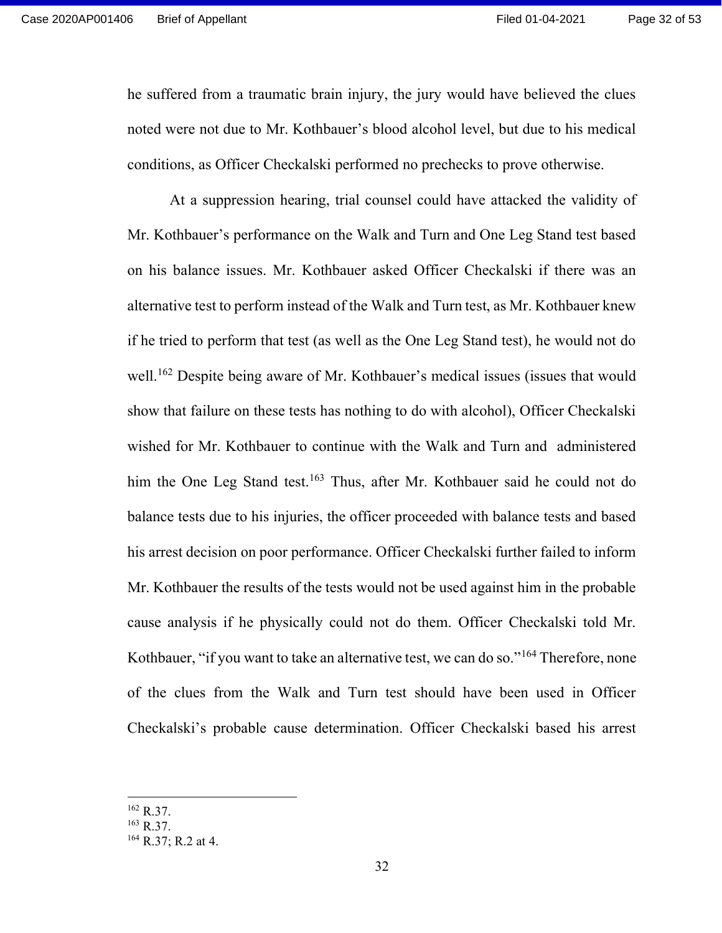he suffered from a traumatic brain injury, the jury would have believed the clues noted were not due to Mr. Kothbauer's blood alcohol level, but due to his medical conditions, as Officer Checkalski performed no prechecks to prove otherwise.

At a suppression hearing, trial counsel could have attacked the validity of Mr. Kothbauer's performance on the Walk and Turn and One Leg Stand test based on his balance issues. Mr. Kothbauer asked Officer Checkalski if there was an alternative test to perform instead of the Walk and Turn test, as Mr. Kothbauer knew if he tried to perform that test (as well as the One Leg Stand test), he would not do well.<sup>162</sup> Despite being aware of Mr. Kothbauer's medical issues (issues that would show that failure on these tests has nothing to do with alcohol), Officer Checkalski wished for Mr. Kothbauer to continue with the Walk and Turn and administered him the One Leg Stand test.<sup>163</sup> Thus, after Mr. Kothbauer said he could not do balance tests due to his injuries, the officer proceeded with balance tests and based his arrest decision on poor performance. Officer Checkalski further failed to inform Mr. Kothbauer the results of the tests would not be used against him in the probable cause analysis if he physically could not do them. Officer Checkalski told Mr. Kothbauer, "if you want to take an alternative test, we can do so."<sup>164</sup> Therefore, none of the clues from the Walk and Turn test should have been used in Officer Checkalski's probable cause determination. Officer Checkalski based his arrest

<sup>162</sup> R.37.

<sup>163</sup> R.37.

<sup>164</sup> R.37; R.2 at 4.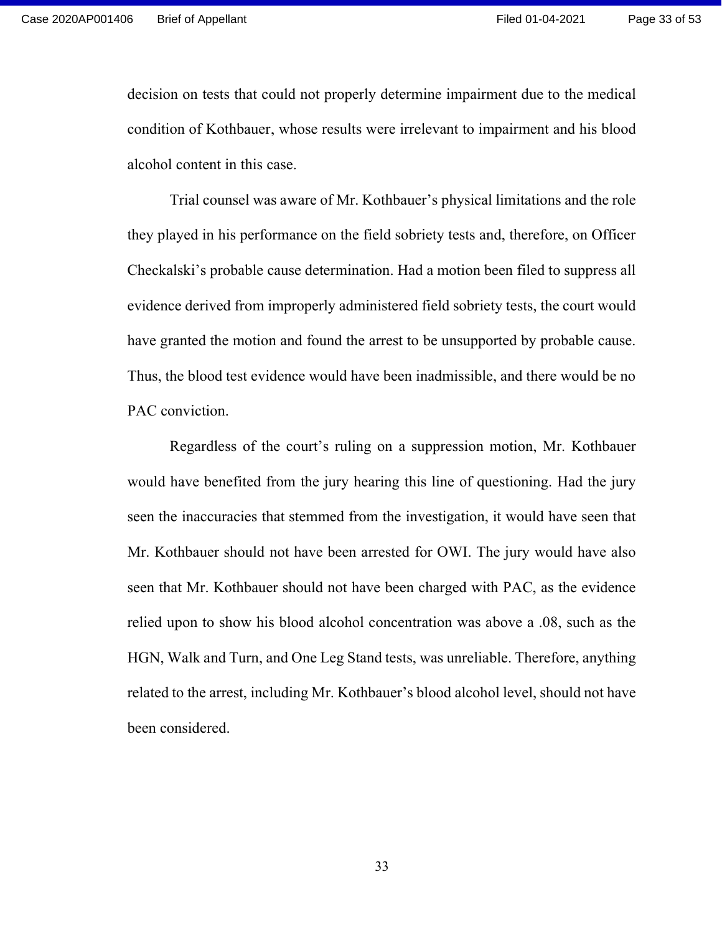decision on tests that could not properly determine impairment due to the medical condition of Kothbauer, whose results were irrelevant to impairment and his blood alcohol content in this case.

Trial counsel was aware of Mr. Kothbauer's physical limitations and the role they played in his performance on the field sobriety tests and, therefore, on Officer Checkalski's probable cause determination. Had a motion been filed to suppress all evidence derived from improperly administered field sobriety tests, the court would have granted the motion and found the arrest to be unsupported by probable cause. Thus, the blood test evidence would have been inadmissible, and there would be no PAC conviction.

Regardless of the court's ruling on a suppression motion, Mr. Kothbauer would have benefited from the jury hearing this line of questioning. Had the jury seen the inaccuracies that stemmed from the investigation, it would have seen that Mr. Kothbauer should not have been arrested for OWI. The jury would have also seen that Mr. Kothbauer should not have been charged with PAC, as the evidence relied upon to show his blood alcohol concentration was above a .08, such as the HGN, Walk and Turn, and One Leg Stand tests, was unreliable. Therefore, anything related to the arrest, including Mr. Kothbauer's blood alcohol level, should not have been considered.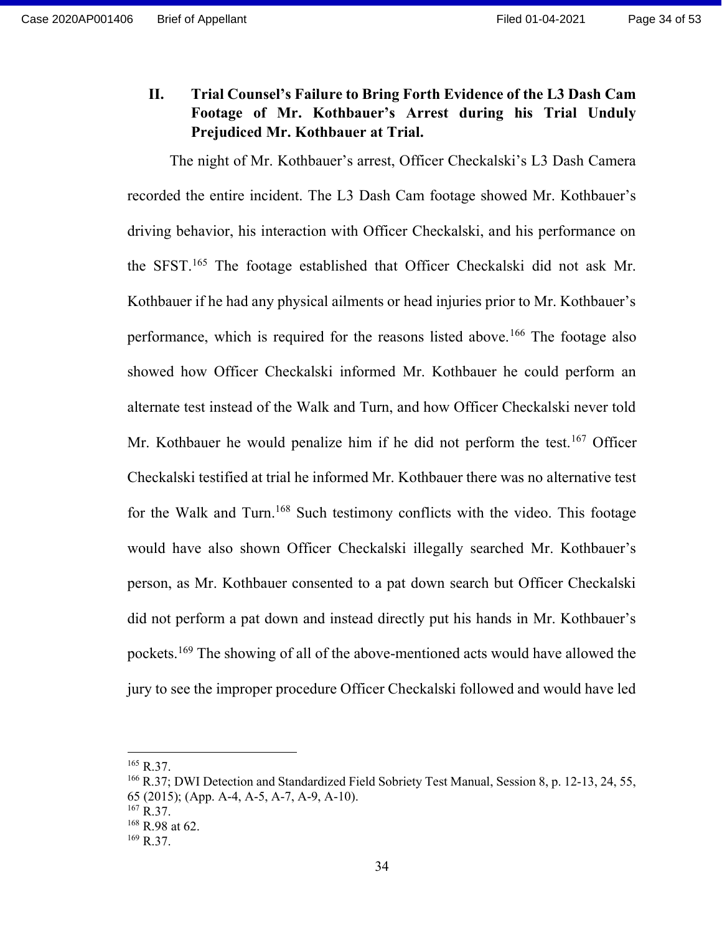II. Trial Counsel's Failure to Bring Forth Evidence of the L3 Dash Cam Footage of Mr. Kothbauer's Arrest during his Trial Unduly Prejudiced Mr. Kothbauer at Trial.

The night of Mr. Kothbauer's arrest, Officer Checkalski's L3 Dash Camera recorded the entire incident. The L3 Dash Cam footage showed Mr. Kothbauer's driving behavior, his interaction with Officer Checkalski, and his performance on the SFST.<sup>165</sup> The footage established that Officer Checkalski did not ask Mr. Kothbauer if he had any physical ailments or head injuries prior to Mr. Kothbauer's performance, which is required for the reasons listed above.<sup>166</sup> The footage also showed how Officer Checkalski informed Mr. Kothbauer he could perform an alternate test instead of the Walk and Turn, and how Officer Checkalski never told Mr. Kothbauer he would penalize him if he did not perform the test.<sup>167</sup> Officer Checkalski testified at trial he informed Mr. Kothbauer there was no alternative test for the Walk and Turn.<sup>168</sup> Such testimony conflicts with the video. This footage would have also shown Officer Checkalski illegally searched Mr. Kothbauer's person, as Mr. Kothbauer consented to a pat down search but Officer Checkalski did not perform a pat down and instead directly put his hands in Mr. Kothbauer's pockets.<sup>169</sup> The showing of all of the above-mentioned acts would have allowed the jury to see the improper procedure Officer Checkalski followed and would have led

 $165$  R.37.

<sup>166</sup> R.37; DWI Detection and Standardized Field Sobriety Test Manual, Session 8, p. 12-13, 24, 55,

<sup>65 (2015); (</sup>App. A-4, A-5, A-7, A-9, A-10).

<sup>167</sup> R.37.

 $168$  R.98 at 62.

 $169$  R.37.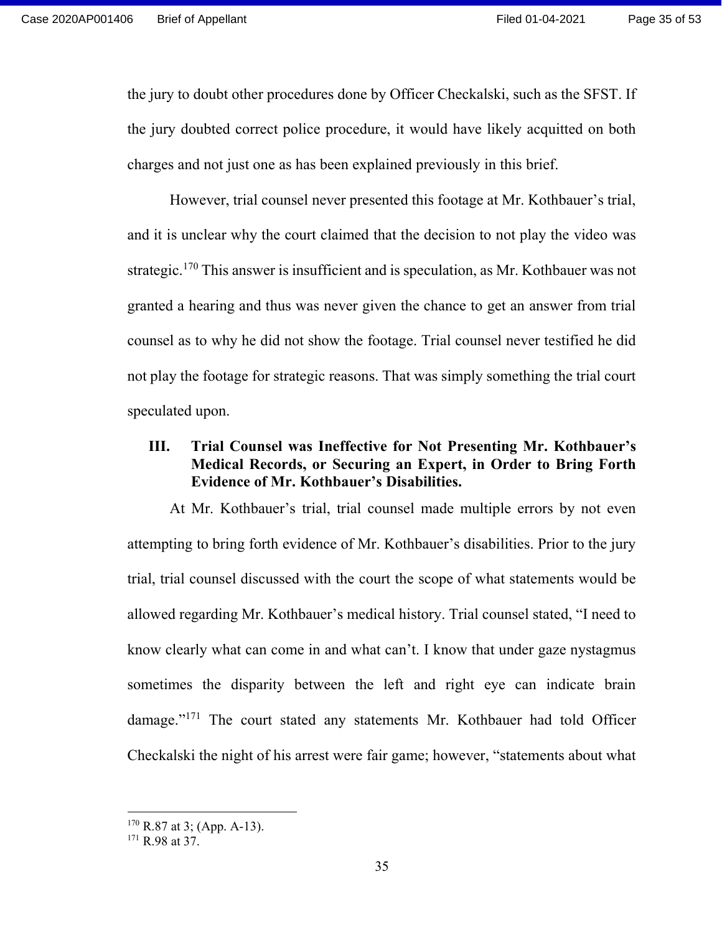the jury to doubt other procedures done by Officer Checkalski, such as the SFST. If the jury doubted correct police procedure, it would have likely acquitted on both charges and not just one as has been explained previously in this brief.

However, trial counsel never presented this footage at Mr. Kothbauer's trial, and it is unclear why the court claimed that the decision to not play the video was strategic.<sup>170</sup> This answer is insufficient and is speculation, as Mr. Kothbauer was not granted a hearing and thus was never given the chance to get an answer from trial counsel as to why he did not show the footage. Trial counsel never testified he did not play the footage for strategic reasons. That was simply something the trial court speculated upon.

## III. Trial Counsel was Ineffective for Not Presenting Mr. Kothbauer's Medical Records, or Securing an Expert, in Order to Bring Forth Evidence of Mr. Kothbauer's Disabilities.

At Mr. Kothbauer's trial, trial counsel made multiple errors by not even attempting to bring forth evidence of Mr. Kothbauer's disabilities. Prior to the jury trial, trial counsel discussed with the court the scope of what statements would be allowed regarding Mr. Kothbauer's medical history. Trial counsel stated, "I need to know clearly what can come in and what can't. I know that under gaze nystagmus sometimes the disparity between the left and right eye can indicate brain damage."<sup>171</sup> The court stated any statements Mr. Kothbauer had told Officer Checkalski the night of his arrest were fair game; however, "statements about what

 $170$  R.87 at 3; (App. A-13).

<sup>&</sup>lt;sup>171</sup> R.98 at 37.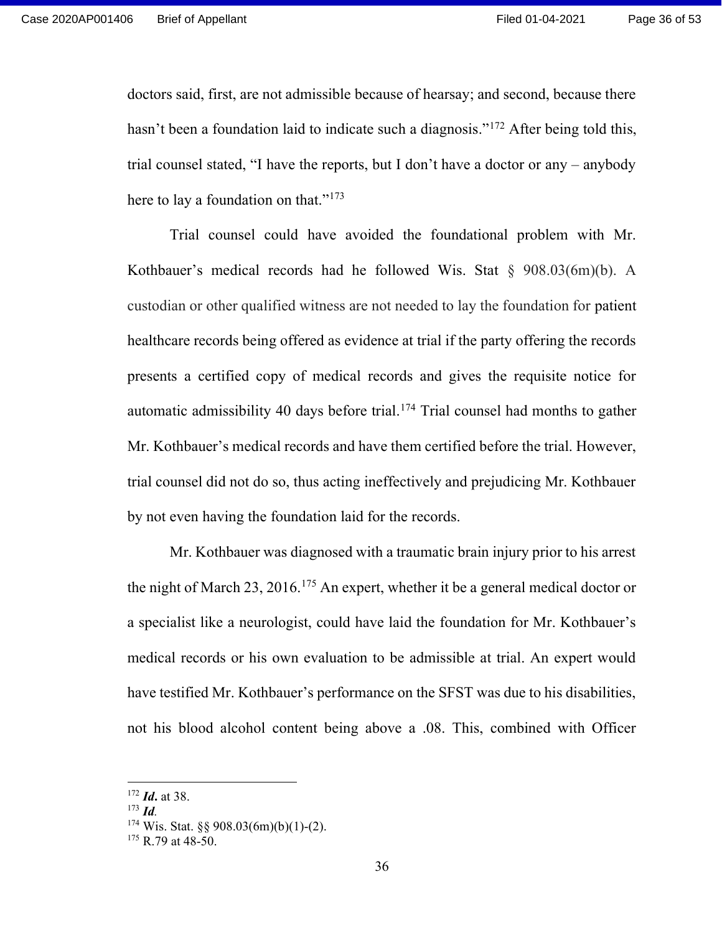doctors said, first, are not admissible because of hearsay; and second, because there hasn't been a foundation laid to indicate such a diagnosis."<sup>172</sup> After being told this, trial counsel stated, "I have the reports, but I don't have a doctor or any – anybody here to lay a foundation on that."<sup>173</sup>

Trial counsel could have avoided the foundational problem with Mr. Kothbauer's medical records had he followed Wis. Stat § 908.03(6m)(b). A custodian or other qualified witness are not needed to lay the foundation for patient healthcare records being offered as evidence at trial if the party offering the records presents a certified copy of medical records and gives the requisite notice for automatic admissibility 40 days before trial.<sup>174</sup> Trial counsel had months to gather Mr. Kothbauer's medical records and have them certified before the trial. However, trial counsel did not do so, thus acting ineffectively and prejudicing Mr. Kothbauer by not even having the foundation laid for the records.

Mr. Kothbauer was diagnosed with a traumatic brain injury prior to his arrest the night of March 23, 2016.<sup>175</sup> An expert, whether it be a general medical doctor or a specialist like a neurologist, could have laid the foundation for Mr. Kothbauer's medical records or his own evaluation to be admissible at trial. An expert would have testified Mr. Kothbauer's performance on the SFST was due to his disabilities, not his blood alcohol content being above a .08. This, combined with Officer

 $172$  *Id.* at 38.

 $173$  *Id.* 

 $174$  Wis. Stat. §§ 908.03(6m)(b)(1)-(2).

 $175$  R.79 at 48-50.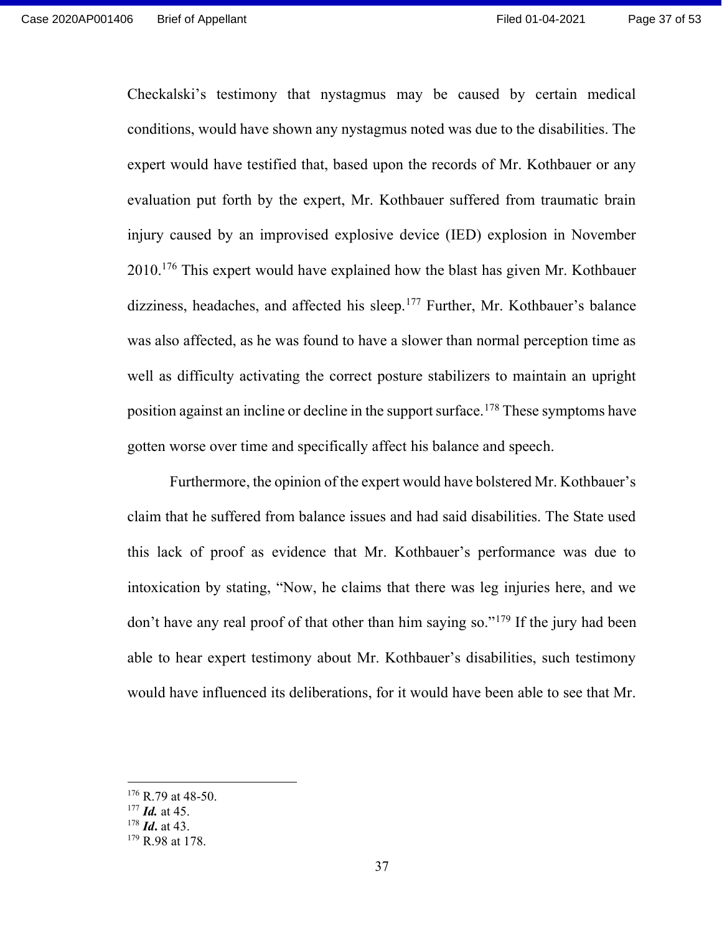Checkalski's testimony that nystagmus may be caused by certain medical conditions, would have shown any nystagmus noted was due to the disabilities. The expert would have testified that, based upon the records of Mr. Kothbauer or any evaluation put forth by the expert, Mr. Kothbauer suffered from traumatic brain injury caused by an improvised explosive device (IED) explosion in November 2010.<sup>176</sup> This expert would have explained how the blast has given Mr. Kothbauer dizziness, headaches, and affected his sleep.<sup>177</sup> Further, Mr. Kothbauer's balance was also affected, as he was found to have a slower than normal perception time as well as difficulty activating the correct posture stabilizers to maintain an upright position against an incline or decline in the support surface.<sup>178</sup> These symptoms have gotten worse over time and specifically affect his balance and speech.

Furthermore, the opinion of the expert would have bolstered Mr. Kothbauer's claim that he suffered from balance issues and had said disabilities. The State used this lack of proof as evidence that Mr. Kothbauer's performance was due to intoxication by stating, "Now, he claims that there was leg injuries here, and we don't have any real proof of that other than him saying so."<sup>179</sup> If the jury had been able to hear expert testimony about Mr. Kothbauer's disabilities, such testimony would have influenced its deliberations, for it would have been able to see that Mr.

 $178$  *Id.* at 43.

 $176$  R.79 at 48-50.

 $177$  *Id.* at 45.

<sup>&</sup>lt;sup>179</sup> R.98 at 178.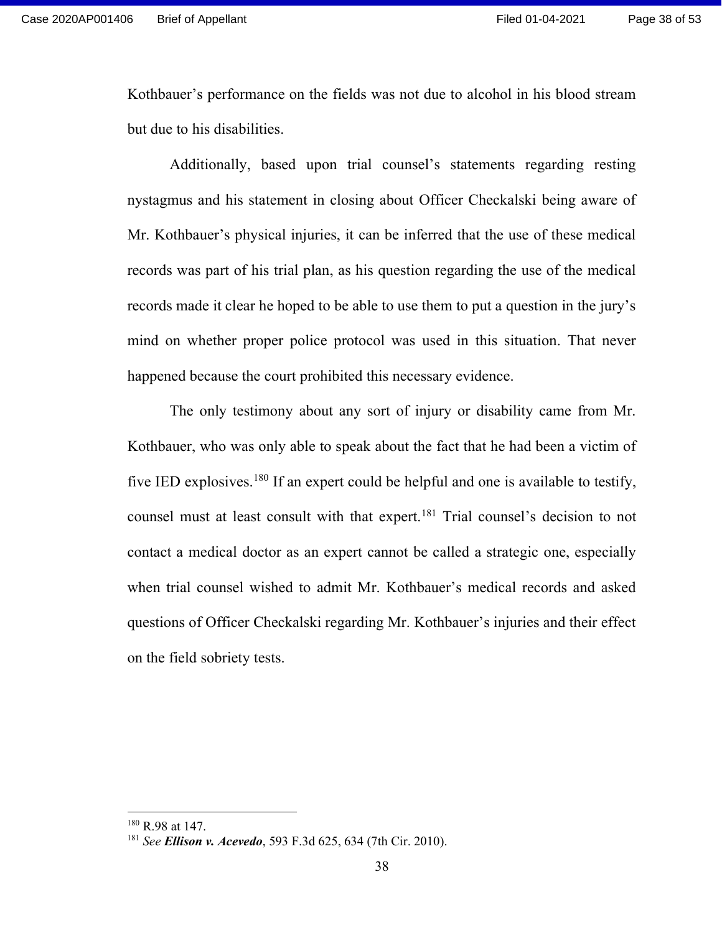Kothbauer's performance on the fields was not due to alcohol in his blood stream but due to his disabilities.

Additionally, based upon trial counsel's statements regarding resting nystagmus and his statement in closing about Officer Checkalski being aware of Mr. Kothbauer's physical injuries, it can be inferred that the use of these medical records was part of his trial plan, as his question regarding the use of the medical records made it clear he hoped to be able to use them to put a question in the jury's mind on whether proper police protocol was used in this situation. That never happened because the court prohibited this necessary evidence.

The only testimony about any sort of injury or disability came from Mr. Kothbauer, who was only able to speak about the fact that he had been a victim of five IED explosives.<sup>180</sup> If an expert could be helpful and one is available to testify, counsel must at least consult with that expert.<sup>181</sup> Trial counsel's decision to not contact a medical doctor as an expert cannot be called a strategic one, especially when trial counsel wished to admit Mr. Kothbauer's medical records and asked questions of Officer Checkalski regarding Mr. Kothbauer's injuries and their effect on the field sobriety tests.

<sup>180</sup> R.98 at 147.

<sup>181</sup> See Ellison v. Acevedo, 593 F.3d 625, 634 (7th Cir. 2010).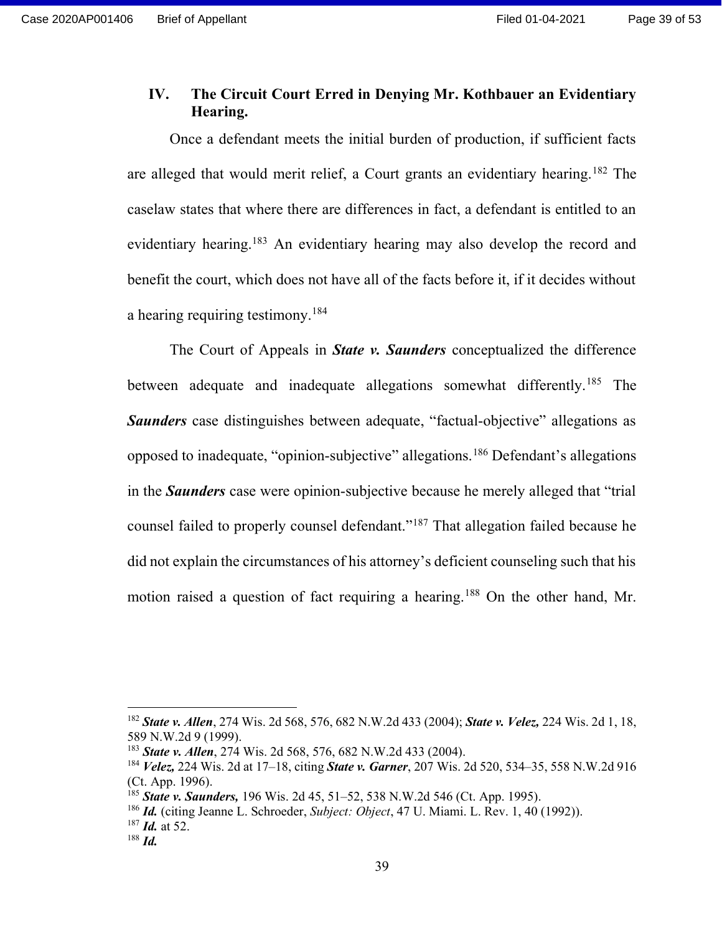### IV. The Circuit Court Erred in Denying Mr. Kothbauer an Evidentiary Hearing.

Once a defendant meets the initial burden of production, if sufficient facts are alleged that would merit relief, a Court grants an evidentiary hearing.<sup>182</sup> The caselaw states that where there are differences in fact, a defendant is entitled to an evidentiary hearing.<sup>183</sup> An evidentiary hearing may also develop the record and benefit the court, which does not have all of the facts before it, if it decides without a hearing requiring testimony.<sup>184</sup>

The Court of Appeals in **State v. Saunders** conceptualized the difference between adequate and inadequate allegations somewhat differently.<sup>185</sup> The **Saunders** case distinguishes between adequate, "factual-objective" allegations as opposed to inadequate, "opinion-subjective" allegations.<sup>186</sup> Defendant's allegations in the **Saunders** case were opinion-subjective because he merely alleged that "trial" counsel failed to properly counsel defendant."<sup>187</sup> That allegation failed because he did not explain the circumstances of his attorney's deficient counseling such that his motion raised a question of fact requiring a hearing.<sup>188</sup> On the other hand, Mr.

<sup>&</sup>lt;sup>182</sup> State v. Allen, 274 Wis. 2d 568, 576, 682 N.W.2d 433 (2004); State v. Velez, 224 Wis. 2d 1, 18, 589 N.W.2d 9 (1999).

<sup>&</sup>lt;sup>183</sup> State v. Allen, 274 Wis. 2d 568, 576, 682 N.W.2d 433 (2004).

<sup>&</sup>lt;sup>184</sup> *Velez*, 224 Wis. 2d at 17–18, citing *State v. Garner*, 207 Wis. 2d 520, 534–35, 558 N.W.2d 916 (Ct. App. 1996).

<sup>&</sup>lt;sup>185</sup> State v. Saunders, 196 Wis. 2d 45, 51–52, 538 N.W.2d 546 (Ct. App. 1995).

<sup>&</sup>lt;sup>186</sup> *Id.* (citing Jeanne L. Schroeder, *Subject: Object*, 47 U. Miami. L. Rev. 1, 40 (1992)).

 $187$  *Id.* at 52.

 $188$  *Id.*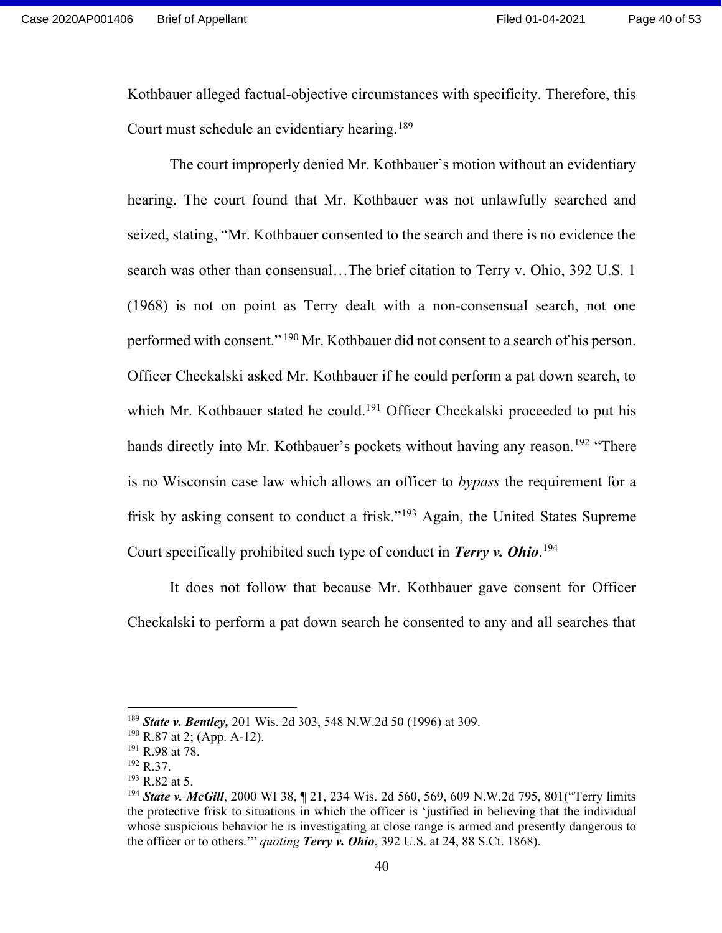Kothbauer alleged factual-objective circumstances with specificity. Therefore, this Court must schedule an evidentiary hearing.<sup>189</sup>

The court improperly denied Mr. Kothbauer's motion without an evidentiary hearing. The court found that Mr. Kothbauer was not unlawfully searched and seized, stating, "Mr. Kothbauer consented to the search and there is no evidence the search was other than consensual…The brief citation to Terry v. Ohio, 392 U.S. 1 (1968) is not on point as Terry dealt with a non-consensual search, not one performed with consent."<sup>190</sup> Mr. Kothbauer did not consent to a search of his person. Officer Checkalski asked Mr. Kothbauer if he could perform a pat down search, to which Mr. Kothbauer stated he could.<sup>191</sup> Officer Checkalski proceeded to put his hands directly into Mr. Kothbauer's pockets without having any reason.<sup>192</sup> "There is no Wisconsin case law which allows an officer to bypass the requirement for a frisk by asking consent to conduct a frisk."<sup>193</sup> Again, the United States Supreme Court specifically prohibited such type of conduct in Terry v. Ohio.<sup>194</sup>

It does not follow that because Mr. Kothbauer gave consent for Officer Checkalski to perform a pat down search he consented to any and all searches that

<sup>&</sup>lt;sup>189</sup> State v. Bentley, 201 Wis. 2d 303, 548 N.W.2d 50 (1996) at 309.

<sup>190</sup> R.87 at 2; (App. A-12).

<sup>191</sup> R.98 at 78.

<sup>192</sup> R.37.

 $193$  R.82 at 5.

<sup>&</sup>lt;sup>194</sup> State v. McGill, 2000 WI 38, 1 21, 234 Wis. 2d 560, 569, 609 N.W.2d 795, 801 ("Terry limits") the protective frisk to situations in which the officer is 'justified in believing that the individual whose suspicious behavior he is investigating at close range is armed and presently dangerous to the officer or to others." *quoting Terry v. Ohio*, 392 U.S. at 24, 88 S.Ct. 1868).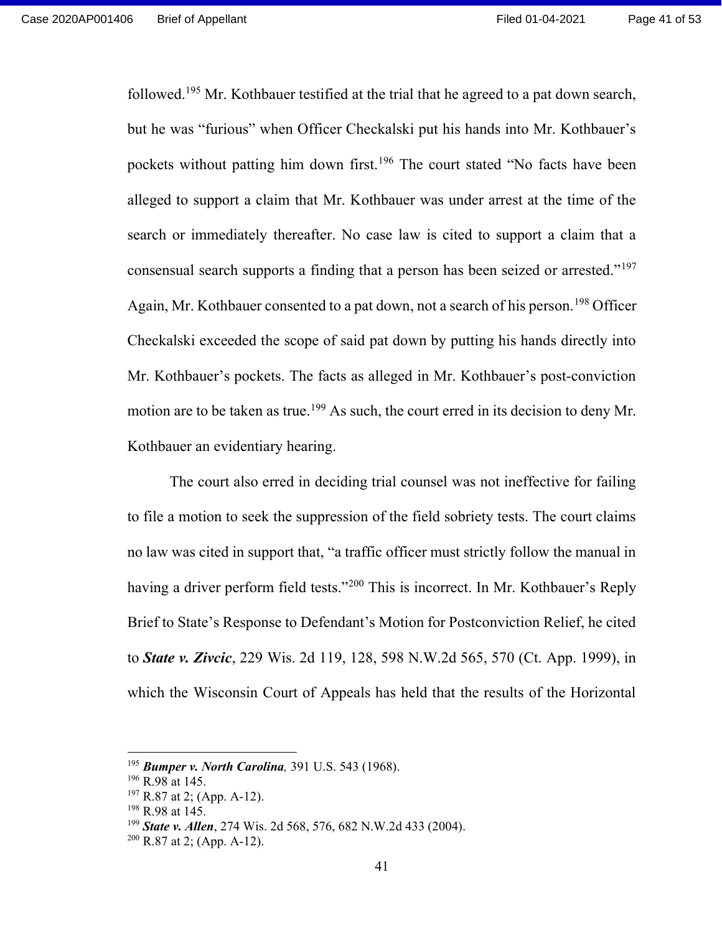followed.<sup>195</sup> Mr. Kothbauer testified at the trial that he agreed to a pat down search, but he was "furious" when Officer Checkalski put his hands into Mr. Kothbauer's pockets without patting him down first.<sup>196</sup> The court stated "No facts have been alleged to support a claim that Mr. Kothbauer was under arrest at the time of the search or immediately thereafter. No case law is cited to support a claim that a consensual search supports a finding that a person has been seized or arrested."<sup>197</sup> Again, Mr. Kothbauer consented to a pat down, not a search of his person.<sup>198</sup> Officer Checkalski exceeded the scope of said pat down by putting his hands directly into Mr. Kothbauer's pockets. The facts as alleged in Mr. Kothbauer's post-conviction motion are to be taken as true.<sup>199</sup> As such, the court erred in its decision to deny Mr. Kothbauer an evidentiary hearing.

The court also erred in deciding trial counsel was not ineffective for failing to file a motion to seek the suppression of the field sobriety tests. The court claims no law was cited in support that, "a traffic officer must strictly follow the manual in having a driver perform field tests."<sup>200</sup> This is incorrect. In Mr. Kothbauer's Reply Brief to State's Response to Defendant's Motion for Postconviction Relief, he cited to State v. Zivcic, 229 Wis. 2d 119, 128, 598 N.W.2d 565, 570 (Ct. App. 1999), in which the Wisconsin Court of Appeals has held that the results of the Horizontal

 $195$  Bumper v. North Carolina, 391 U.S. 543 (1968).

<sup>&</sup>lt;sup>196</sup> R.98 at 145.

<sup>197</sup> R.87 at 2; (App. A-12).

<sup>198</sup> R.98 at 145.

<sup>&</sup>lt;sup>199</sup> State v. Allen, 274 Wis. 2d 568, 576, 682 N.W.2d 433 (2004).

 $200$  R.87 at 2; (App. A-12).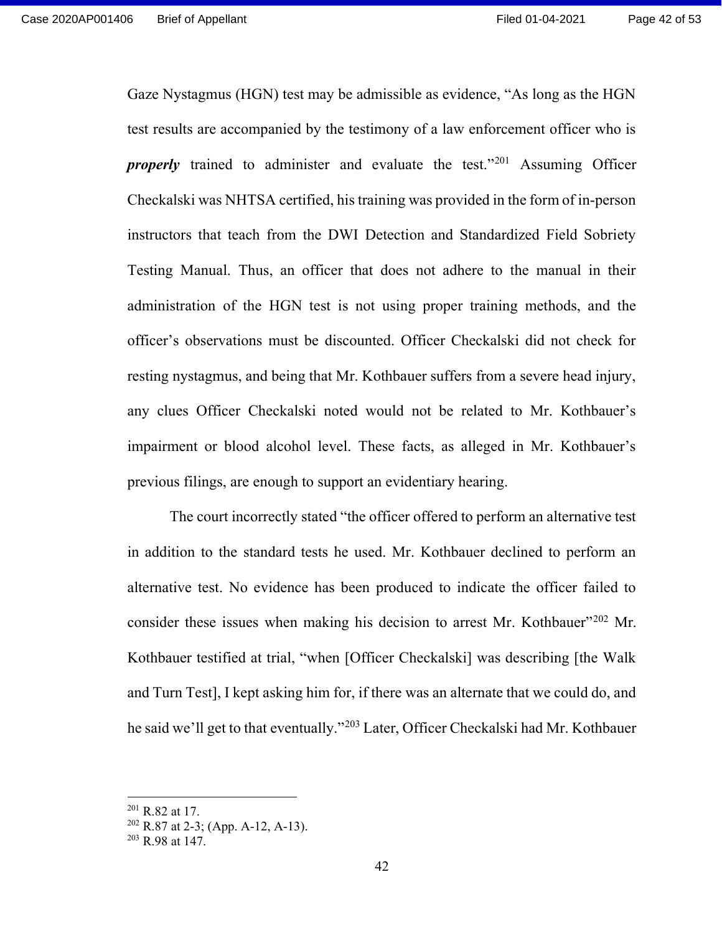Gaze Nystagmus (HGN) test may be admissible as evidence, "As long as the HGN test results are accompanied by the testimony of a law enforcement officer who is **properly** trained to administer and evaluate the test."<sup>201</sup> Assuming Officer Checkalski was NHTSA certified, his training was provided in the form of in-person instructors that teach from the DWI Detection and Standardized Field Sobriety Testing Manual. Thus, an officer that does not adhere to the manual in their administration of the HGN test is not using proper training methods, and the officer's observations must be discounted. Officer Checkalski did not check for resting nystagmus, and being that Mr. Kothbauer suffers from a severe head injury, any clues Officer Checkalski noted would not be related to Mr. Kothbauer's impairment or blood alcohol level. These facts, as alleged in Mr. Kothbauer's previous filings, are enough to support an evidentiary hearing.

The court incorrectly stated "the officer offered to perform an alternative test in addition to the standard tests he used. Mr. Kothbauer declined to perform an alternative test. No evidence has been produced to indicate the officer failed to consider these issues when making his decision to arrest Mr. Kothbauer<sup>"202</sup> Mr. Kothbauer testified at trial, "when [Officer Checkalski] was describing [the Walk and Turn Test], I kept asking him for, if there was an alternate that we could do, and he said we'll get to that eventually."<sup>203</sup> Later, Officer Checkalski had Mr. Kothbauer

<sup>201</sup> R.82 at 17.

 $202$  R.87 at 2-3; (App. A-12, A-13).

 $203$  R.98 at 147.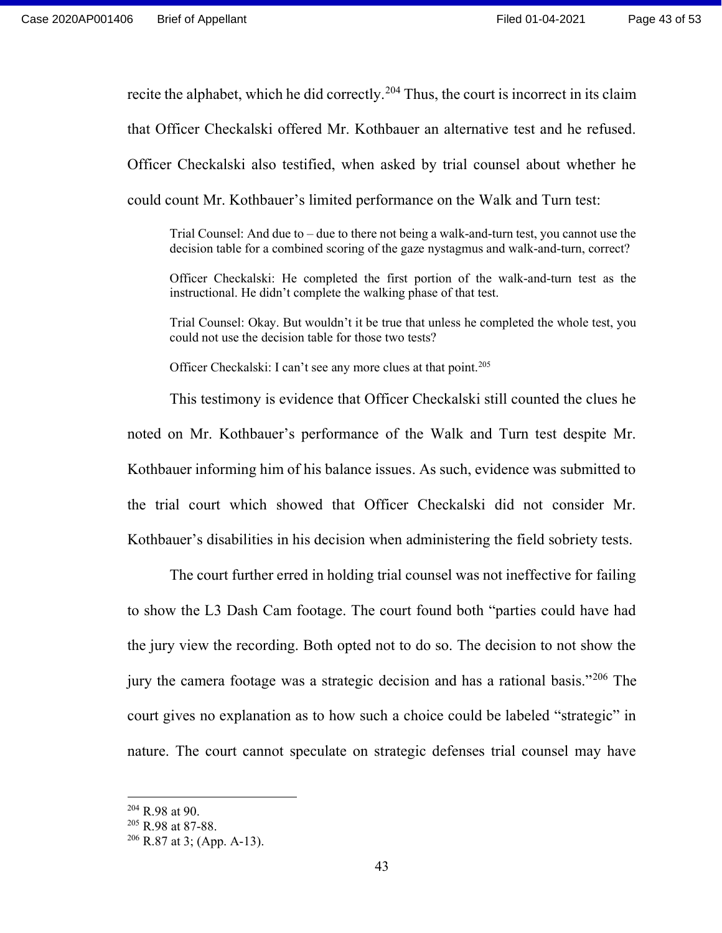recite the alphabet, which he did correctly.<sup>204</sup> Thus, the court is incorrect in its claim that Officer Checkalski offered Mr. Kothbauer an alternative test and he refused. Officer Checkalski also testified, when asked by trial counsel about whether he could count Mr. Kothbauer's limited performance on the Walk and Turn test:

Trial Counsel: And due to – due to there not being a walk-and-turn test, you cannot use the decision table for a combined scoring of the gaze nystagmus and walk-and-turn, correct?

Officer Checkalski: He completed the first portion of the walk-and-turn test as the instructional. He didn't complete the walking phase of that test.

Trial Counsel: Okay. But wouldn't it be true that unless he completed the whole test, you could not use the decision table for those two tests?

Officer Checkalski: I can't see any more clues at that point.<sup>205</sup>

 This testimony is evidence that Officer Checkalski still counted the clues he noted on Mr. Kothbauer's performance of the Walk and Turn test despite Mr. Kothbauer informing him of his balance issues. As such, evidence was submitted to the trial court which showed that Officer Checkalski did not consider Mr. Kothbauer's disabilities in his decision when administering the field sobriety tests.

The court further erred in holding trial counsel was not ineffective for failing to show the L3 Dash Cam footage. The court found both "parties could have had the jury view the recording. Both opted not to do so. The decision to not show the jury the camera footage was a strategic decision and has a rational basis."<sup>206</sup> The court gives no explanation as to how such a choice could be labeled "strategic" in nature. The court cannot speculate on strategic defenses trial counsel may have

 $204$  R.98 at 90.

<sup>&</sup>lt;sup>205</sup> R.98 at 87-88.

 $206$  R.87 at 3; (App. A-13).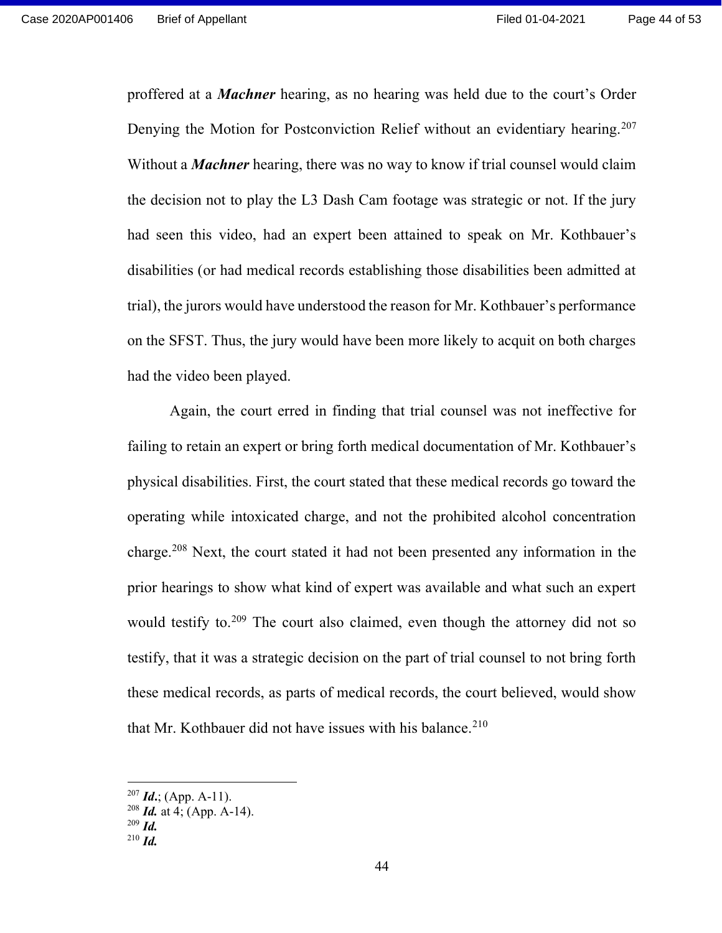proffered at a Machner hearing, as no hearing was held due to the court's Order Denying the Motion for Postconviction Relief without an evidentiary hearing.<sup>207</sup> Without a *Machner* hearing, there was no way to know if trial counsel would claim the decision not to play the L3 Dash Cam footage was strategic or not. If the jury had seen this video, had an expert been attained to speak on Mr. Kothbauer's disabilities (or had medical records establishing those disabilities been admitted at trial), the jurors would have understood the reason for Mr. Kothbauer's performance on the SFST. Thus, the jury would have been more likely to acquit on both charges had the video been played.

Again, the court erred in finding that trial counsel was not ineffective for failing to retain an expert or bring forth medical documentation of Mr. Kothbauer's physical disabilities. First, the court stated that these medical records go toward the operating while intoxicated charge, and not the prohibited alcohol concentration charge.<sup>208</sup> Next, the court stated it had not been presented any information in the prior hearings to show what kind of expert was available and what such an expert would testify to.<sup>209</sup> The court also claimed, even though the attorney did not so testify, that it was a strategic decision on the part of trial counsel to not bring forth these medical records, as parts of medical records, the court believed, would show that Mr. Kothbauer did not have issues with his balance.<sup>210</sup>

 $^{207}$  *Id.*; (App. A-11).

 $208$  *Id.* at 4; (App. A-14).

 $209$  *Id.* 

 $^{210}$  *Id.*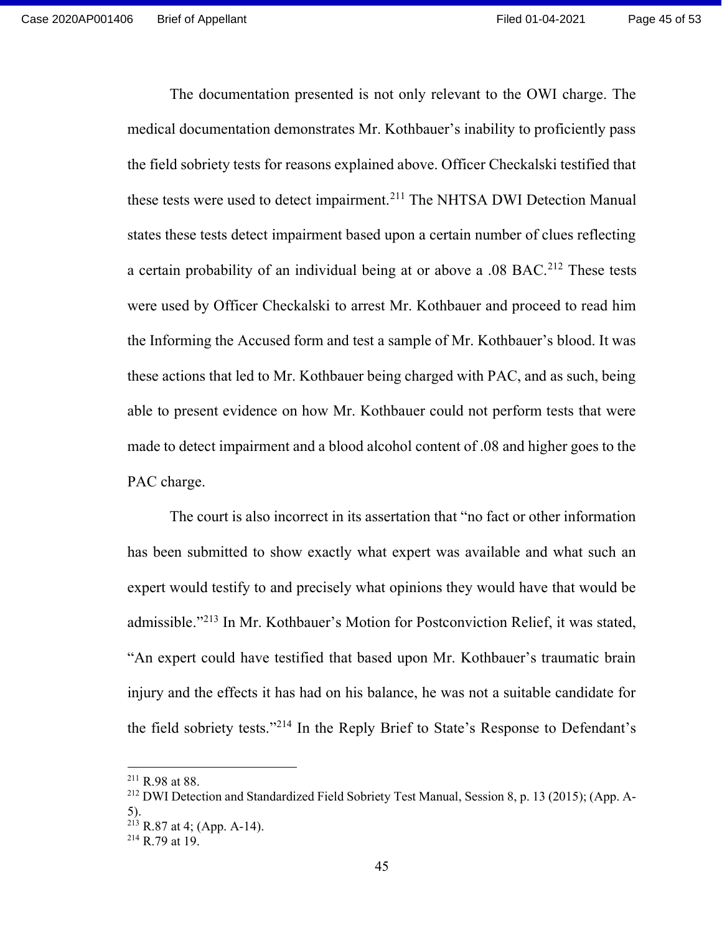The documentation presented is not only relevant to the OWI charge. The medical documentation demonstrates Mr. Kothbauer's inability to proficiently pass the field sobriety tests for reasons explained above. Officer Checkalski testified that these tests were used to detect impairment.<sup>211</sup> The NHTSA DWI Detection Manual states these tests detect impairment based upon a certain number of clues reflecting a certain probability of an individual being at or above a .08 BAC.<sup>212</sup> These tests were used by Officer Checkalski to arrest Mr. Kothbauer and proceed to read him the Informing the Accused form and test a sample of Mr. Kothbauer's blood. It was these actions that led to Mr. Kothbauer being charged with PAC, and as such, being able to present evidence on how Mr. Kothbauer could not perform tests that were made to detect impairment and a blood alcohol content of .08 and higher goes to the PAC charge.

The court is also incorrect in its assertation that "no fact or other information has been submitted to show exactly what expert was available and what such an expert would testify to and precisely what opinions they would have that would be admissible."<sup>213</sup> In Mr. Kothbauer's Motion for Postconviction Relief, it was stated, "An expert could have testified that based upon Mr. Kothbauer's traumatic brain injury and the effects it has had on his balance, he was not a suitable candidate for the field sobriety tests."<sup>214</sup> In the Reply Brief to State's Response to Defendant's

 $211$  R.98 at 88.

<sup>212</sup> DWI Detection and Standardized Field Sobriety Test Manual, Session 8, p. 13 (2015); (App. A-5).

 $^{213}$  R.87 at 4; (App. A-14).

<sup>214</sup> R.79 at 19.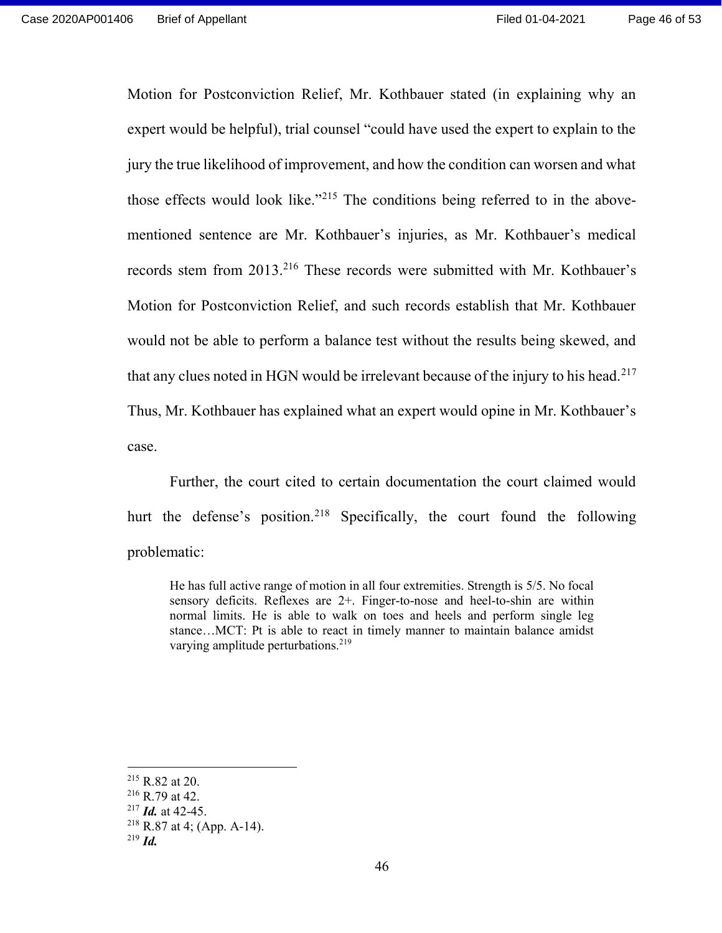Motion for Postconviction Relief, Mr. Kothbauer stated (in explaining why an expert would be helpful), trial counsel "could have used the expert to explain to the jury the true likelihood of improvement, and how the condition can worsen and what those effects would look like."<sup>215</sup> The conditions being referred to in the abovementioned sentence are Mr. Kothbauer's injuries, as Mr. Kothbauer's medical records stem from 2013.<sup>216</sup> These records were submitted with Mr. Kothbauer's Motion for Postconviction Relief, and such records establish that Mr. Kothbauer would not be able to perform a balance test without the results being skewed, and that any clues noted in HGN would be irrelevant because of the injury to his head.<sup>217</sup> Thus, Mr. Kothbauer has explained what an expert would opine in Mr. Kothbauer's case.

Further, the court cited to certain documentation the court claimed would hurt the defense's position.<sup>218</sup> Specifically, the court found the following problematic:

He has full active range of motion in all four extremities. Strength is 5/5. No focal sensory deficits. Reflexes are 2+. Finger-to-nose and heel-to-shin are within normal limits. He is able to walk on toes and heels and perform single leg stance…MCT: Pt is able to react in timely manner to maintain balance amidst varying amplitude perturbations.<sup>219</sup>

 $215$  R.82 at 20.

 $216$  R.79 at 42.

 $217$  *Id.* at 42-45.

 $218$  R.87 at 4; (App. A-14).

 $^{219}$  *Id.*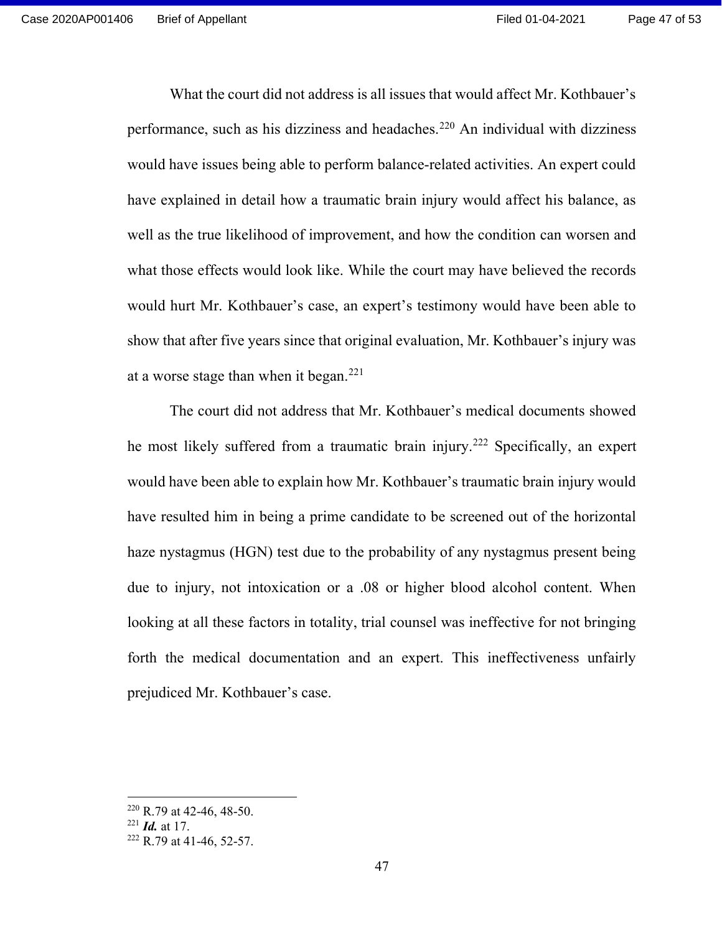What the court did not address is all issues that would affect Mr. Kothbauer's performance, such as his dizziness and headaches.<sup>220</sup> An individual with dizziness would have issues being able to perform balance-related activities. An expert could have explained in detail how a traumatic brain injury would affect his balance, as well as the true likelihood of improvement, and how the condition can worsen and what those effects would look like. While the court may have believed the records would hurt Mr. Kothbauer's case, an expert's testimony would have been able to show that after five years since that original evaluation, Mr. Kothbauer's injury was at a worse stage than when it began.<sup>221</sup>

The court did not address that Mr. Kothbauer's medical documents showed he most likely suffered from a traumatic brain injury.<sup>222</sup> Specifically, an expert would have been able to explain how Mr. Kothbauer's traumatic brain injury would have resulted him in being a prime candidate to be screened out of the horizontal haze nystagmus (HGN) test due to the probability of any nystagmus present being due to injury, not intoxication or a .08 or higher blood alcohol content. When looking at all these factors in totality, trial counsel was ineffective for not bringing forth the medical documentation and an expert. This ineffectiveness unfairly prejudiced Mr. Kothbauer's case.

 $220$  R.79 at 42-46, 48-50.

 $^{221}$  *Id.* at 17.

 $222$  R.79 at 41-46, 52-57.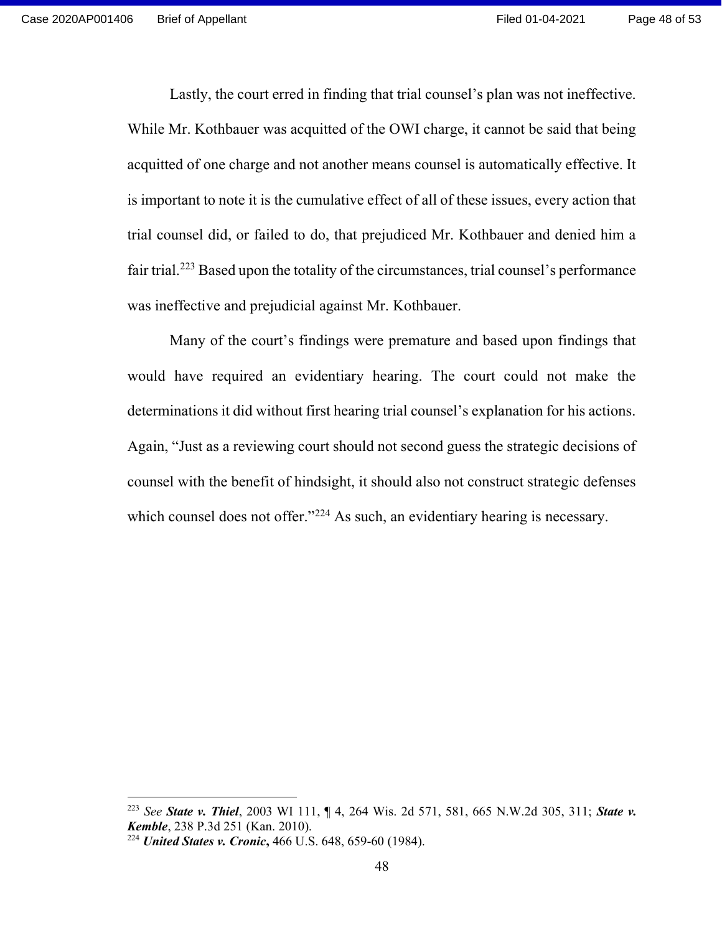Lastly, the court erred in finding that trial counsel's plan was not ineffective. While Mr. Kothbauer was acquitted of the OWI charge, it cannot be said that being acquitted of one charge and not another means counsel is automatically effective. It is important to note it is the cumulative effect of all of these issues, every action that trial counsel did, or failed to do, that prejudiced Mr. Kothbauer and denied him a fair trial.<sup>223</sup> Based upon the totality of the circumstances, trial counsel's performance was ineffective and prejudicial against Mr. Kothbauer.

Many of the court's findings were premature and based upon findings that would have required an evidentiary hearing. The court could not make the determinations it did without first hearing trial counsel's explanation for his actions. Again, "Just as a reviewing court should not second guess the strategic decisions of counsel with the benefit of hindsight, it should also not construct strategic defenses which counsel does not offer."<sup>224</sup> As such, an evidentiary hearing is necessary.

<sup>&</sup>lt;sup>223</sup> See **State v. Thiel**, 2003 WI 111,  $\P$  4, 264 Wis. 2d 571, 581, 665 N.W.2d 305, 311; **State v.** Kemble, 238 P.3d 251 (Kan. 2010).

<sup>&</sup>lt;sup>224</sup> United States v. Cronic, 466 U.S. 648, 659-60 (1984).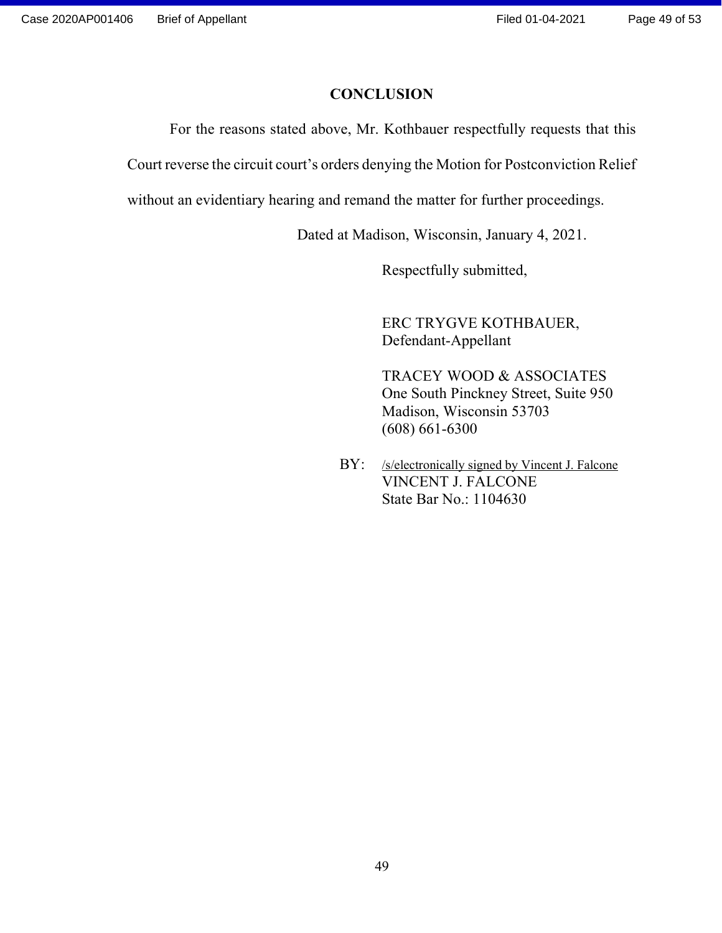### **CONCLUSION**

For the reasons stated above, Mr. Kothbauer respectfully requests that this

Court reverse the circuit court's orders denying the Motion for Postconviction Relief

without an evidentiary hearing and remand the matter for further proceedings.

Dated at Madison, Wisconsin, January 4, 2021.

Respectfully submitted,

 ERC TRYGVE KOTHBAUER, Defendant-Appellant

 TRACEY WOOD & ASSOCIATES One South Pinckney Street, Suite 950 Madison, Wisconsin 53703 (608) 661-6300

BY: /s/electronically signed by Vincent J. Falcone VINCENT J. FALCONE State Bar No.: 1104630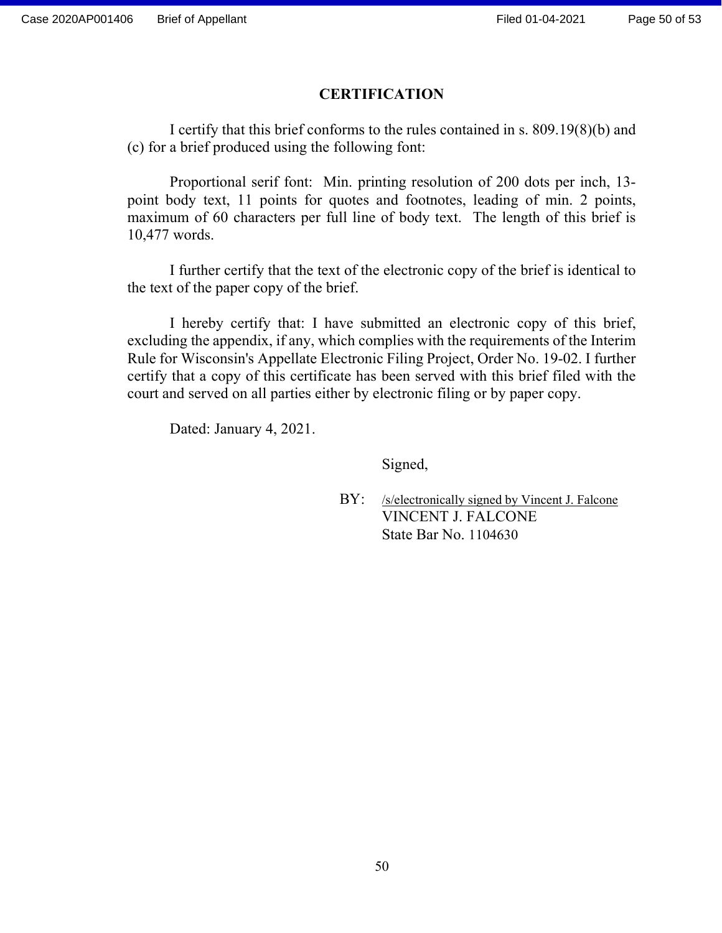### **CERTIFICATION**

 I certify that this brief conforms to the rules contained in s. 809.19(8)(b) and (c) for a brief produced using the following font:

 Proportional serif font: Min. printing resolution of 200 dots per inch, 13 point body text, 11 points for quotes and footnotes, leading of min. 2 points, maximum of 60 characters per full line of body text. The length of this brief is 10,477 words.

I further certify that the text of the electronic copy of the brief is identical to the text of the paper copy of the brief.

I hereby certify that: I have submitted an electronic copy of this brief, excluding the appendix, if any, which complies with the requirements of the Interim Rule for Wisconsin's Appellate Electronic Filing Project, Order No. 19-02. I further certify that a copy of this certificate has been served with this brief filed with the court and served on all parties either by electronic filing or by paper copy.

Dated: January 4, 2021.

Signed,

BY: /s/electronically signed by Vincent J. Falcone VINCENT J. FALCONE State Bar No. 1104630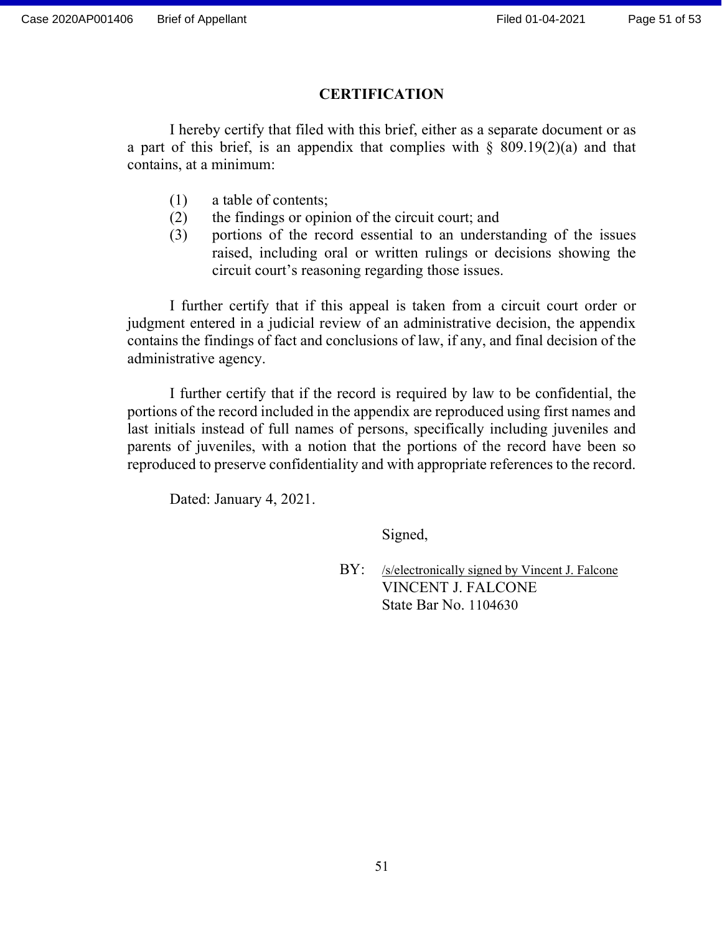### **CERTIFICATION**

I hereby certify that filed with this brief, either as a separate document or as a part of this brief, is an appendix that complies with  $\S$  809.19(2)(a) and that contains, at a minimum:

- (1) a table of contents;
- (2) the findings or opinion of the circuit court; and
- (3) portions of the record essential to an understanding of the issues raised, including oral or written rulings or decisions showing the circuit court's reasoning regarding those issues.

I further certify that if this appeal is taken from a circuit court order or judgment entered in a judicial review of an administrative decision, the appendix contains the findings of fact and conclusions of law, if any, and final decision of the administrative agency.

I further certify that if the record is required by law to be confidential, the portions of the record included in the appendix are reproduced using first names and last initials instead of full names of persons, specifically including juveniles and parents of juveniles, with a notion that the portions of the record have been so reproduced to preserve confidentiality and with appropriate references to the record.

Dated: January 4, 2021.

Signed,

BY: /s/electronically signed by Vincent J. Falcone VINCENT J. FALCONE State Bar No. 1104630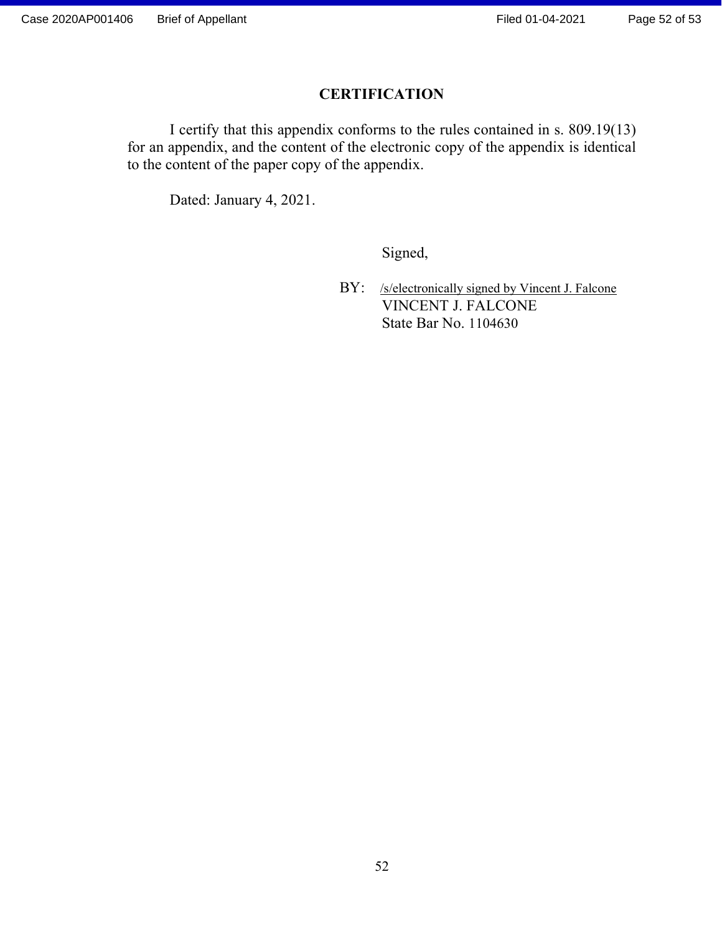### **CERTIFICATION**

 I certify that this appendix conforms to the rules contained in s. 809.19(13) for an appendix, and the content of the electronic copy of the appendix is identical to the content of the paper copy of the appendix.

Dated: January 4, 2021.

Signed,

BY: /s/electronically signed by Vincent J. Falcone VINCENT J. FALCONE State Bar No. 1104630